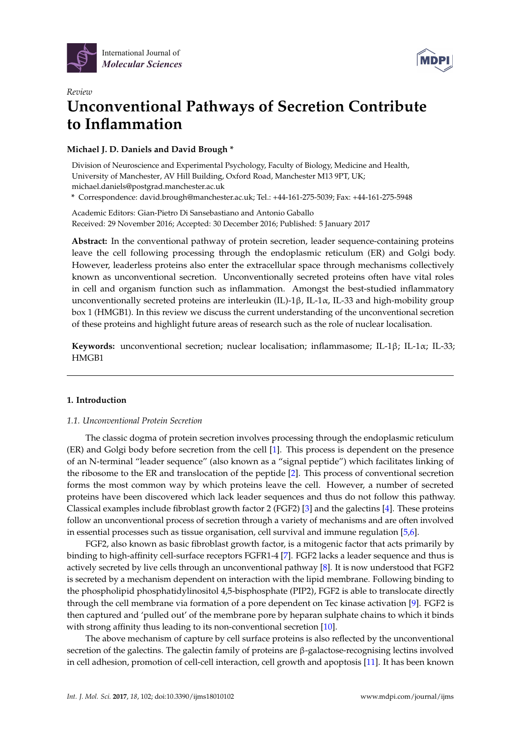



# *Review* **Unconventional Pathways of Secretion Contribute to Inflammation**

**Michael J. D. Daniels and David Brough \***

Division of Neuroscience and Experimental Psychology, Faculty of Biology, Medicine and Health, University of Manchester, AV Hill Building, Oxford Road, Manchester M13 9PT, UK; michael.daniels@postgrad.manchester.ac.uk **\*** Correspondence: david.brough@manchester.ac.uk; Tel.: +44-161-275-5039; Fax: +44-161-275-5948

Academic Editors: Gian-Pietro Di Sansebastiano and Antonio Gaballo Received: 29 November 2016; Accepted: 30 December 2016; Published: 5 January 2017

**Abstract:** In the conventional pathway of protein secretion, leader sequence-containing proteins leave the cell following processing through the endoplasmic reticulum (ER) and Golgi body. However, leaderless proteins also enter the extracellular space through mechanisms collectively known as unconventional secretion. Unconventionally secreted proteins often have vital roles in cell and organism function such as inflammation. Amongst the best-studied inflammatory unconventionally secreted proteins are interleukin (IL)-1β, IL-1α, IL-33 and high-mobility group box 1 (HMGB1). In this review we discuss the current understanding of the unconventional secretion of these proteins and highlight future areas of research such as the role of nuclear localisation.

**Keywords:** unconventional secretion; nuclear localisation; inflammasome; IL-1β; IL-1α; IL-33; HMGB1

## **1. Introduction**

## *1.1. Unconventional Protein Secretion*

The classic dogma of protein secretion involves processing through the endoplasmic reticulum (ER) and Golgi body before secretion from the cell [\[1\]](#page-9-0). This process is dependent on the presence of an N-terminal "leader sequence" (also known as a "signal peptide") which facilitates linking of the ribosome to the ER and translocation of the peptide [\[2\]](#page-9-1). This process of conventional secretion forms the most common way by which proteins leave the cell. However, a number of secreted proteins have been discovered which lack leader sequences and thus do not follow this pathway. Classical examples include fibroblast growth factor 2 (FGF2) [\[3\]](#page-10-0) and the galectins [\[4\]](#page-10-1). These proteins follow an unconventional process of secretion through a variety of mechanisms and are often involved in essential processes such as tissue organisation, cell survival and immune regulation [\[5,](#page-10-2)[6\]](#page-10-3).

FGF2, also known as basic fibroblast growth factor, is a mitogenic factor that acts primarily by binding to high-affinity cell-surface receptors FGFR1-4 [\[7\]](#page-10-4). FGF2 lacks a leader sequence and thus is actively secreted by live cells through an unconventional pathway [\[8\]](#page-10-5). It is now understood that FGF2 is secreted by a mechanism dependent on interaction with the lipid membrane. Following binding to the phospholipid phosphatidylinositol 4,5-bisphosphate (PIP2), FGF2 is able to translocate directly through the cell membrane via formation of a pore dependent on Tec kinase activation [\[9\]](#page-10-6). FGF2 is then captured and 'pulled out' of the membrane pore by heparan sulphate chains to which it binds with strong affinity thus leading to its non-conventional secretion [\[10\]](#page-10-7).

The above mechanism of capture by cell surface proteins is also reflected by the unconventional secretion of the galectins. The galectin family of proteins are β-galactose-recognising lectins involved in cell adhesion, promotion of cell-cell interaction, cell growth and apoptosis [\[11\]](#page-10-8). It has been known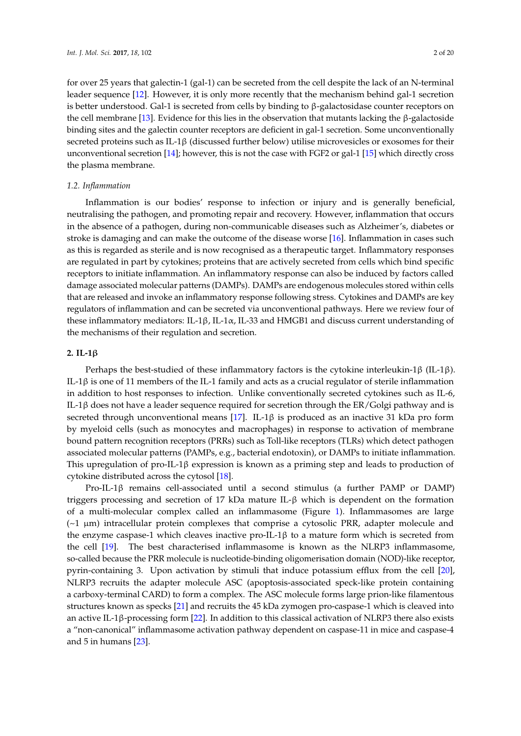for over 25 years that galectin-1 (gal-1) can be secreted from the cell despite the lack of an N-terminal leader sequence [\[12\]](#page-10-9). However, it is only more recently that the mechanism behind gal-1 secretion is better understood. Gal-1 is secreted from cells by binding to β-galactosidase counter receptors on the cell membrane [\[13\]](#page-10-10). Evidence for this lies in the observation that mutants lacking the β-galactoside binding sites and the galectin counter receptors are deficient in gal-1 secretion. Some unconventionally secreted proteins such as IL-1 $\beta$  (discussed further below) utilise microvesicles or exosomes for their unconventional secretion [\[14\]](#page-10-11); however, this is not the case with FGF2 or gal-1 [\[15\]](#page-10-12) which directly cross the plasma membrane.

#### *1.2. Inflammation*

Inflammation is our bodies' response to infection or injury and is generally beneficial, neutralising the pathogen, and promoting repair and recovery. However, inflammation that occurs in the absence of a pathogen, during non-communicable diseases such as Alzheimer's, diabetes or stroke is damaging and can make the outcome of the disease worse [\[16\]](#page-10-13). Inflammation in cases such as this is regarded as sterile and is now recognised as a therapeutic target. Inflammatory responses are regulated in part by cytokines; proteins that are actively secreted from cells which bind specific receptors to initiate inflammation. An inflammatory response can also be induced by factors called damage associated molecular patterns (DAMPs). DAMPs are endogenous molecules stored within cells that are released and invoke an inflammatory response following stress. Cytokines and DAMPs are key regulators of inflammation and can be secreted via unconventional pathways. Here we review four of these inflammatory mediators: IL-1β, IL-1 $\alpha$ , IL-33 and HMGB1 and discuss current understanding of the mechanisms of their regulation and secretion.

### **2. IL-1**β

Perhaps the best-studied of these inflammatory factors is the cytokine interleukin-1β (IL-1β). IL-1β is one of 11 members of the IL-1 family and acts as a crucial regulator of sterile inflammation in addition to host responses to infection. Unlike conventionally secreted cytokines such as IL-6, IL-1β does not have a leader sequence required for secretion through the ER/Golgi pathway and is secreted through unconventional means [\[17\]](#page-10-14). IL-1 $\beta$  is produced as an inactive 31 kDa pro form by myeloid cells (such as monocytes and macrophages) in response to activation of membrane bound pattern recognition receptors (PRRs) such as Toll-like receptors (TLRs) which detect pathogen associated molecular patterns (PAMPs, e.g., bacterial endotoxin), or DAMPs to initiate inflammation. This upregulation of pro-IL-1 $\beta$  expression is known as a priming step and leads to production of cytokine distributed across the cytosol [\[18\]](#page-10-15).

Pro-IL-1β remains cell-associated until a second stimulus (a further PAMP or DAMP) triggers processing and secretion of 17 kDa mature IL-β which is dependent on the formation of a multi-molecular complex called an inflammasome (Figure [1\)](#page-2-0). Inflammasomes are large  $({\sim}1 \mu m)$  intracellular protein complexes that comprise a cytosolic PRR, adapter molecule and the enzyme caspase-1 which cleaves inactive pro-IL-1β to a mature form which is secreted from the cell [\[19\]](#page-10-16). The best characterised inflammasome is known as the NLRP3 inflammasome, so-called because the PRR molecule is nucleotide-binding oligomerisation domain (NOD)-like receptor, pyrin-containing 3. Upon activation by stimuli that induce potassium efflux from the cell [\[20\]](#page-10-17), NLRP3 recruits the adapter molecule ASC (apoptosis-associated speck-like protein containing a carboxy-terminal CARD) to form a complex. The ASC molecule forms large prion-like filamentous structures known as specks [\[21\]](#page-10-18) and recruits the 45 kDa zymogen pro-caspase-1 which is cleaved into an active IL-1β-processing form [\[22\]](#page-10-19). In addition to this classical activation of NLRP3 there also exists a "non-canonical" inflammasome activation pathway dependent on caspase-11 in mice and caspase-4 and 5 in humans [\[23\]](#page-10-20).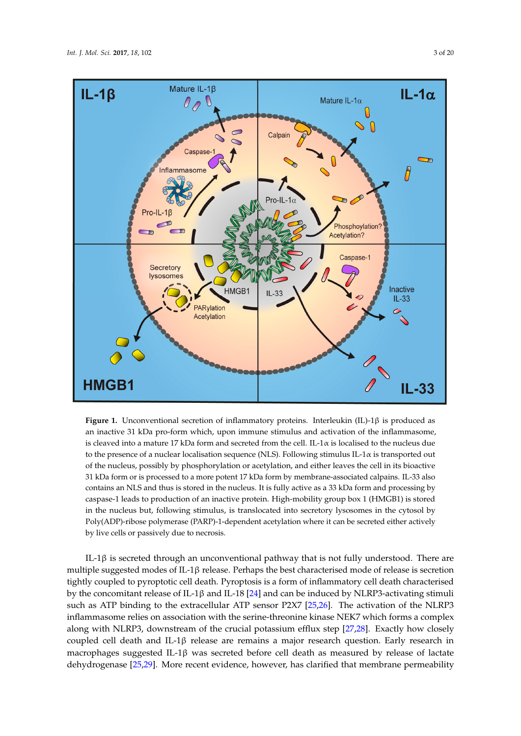<span id="page-2-0"></span>

**Figure 1.** Unconventional secretion of inflammatory proteins. Interleukin (IL)-1β is produced as an inactive 31 kDa pro-form which, upon immune stimulus and activation of the inflammasome, is cleaved into a mature 17 kDa form and secreted from the cell. IL-1 $\alpha$  is localised to the nucleus due to the presence of a nuclear localisation sequence (NLS). Following stimulus IL-1 $\alpha$  is transported out the nucleus, possibly by phosphorylation or acetylation, and either leaves the cell in its bioactive of the nucleus, possibly by phosphorylation or acetylation, and either leaves the cell in its bioactive 31 kDa form or is processed to a more potent 17 kDa form by membrane-associated calpains. IL-33 31 kDa form or is processed to a more potent 17 kDa form by membrane-associated calpains. IL-33 also contains an NLS and thus is stored in the nucleus. It is fully active as a 33 kDa form and processing by caspase-1 leads to production of an inactive protein. High-mobility group box 1 (HMGB1) is stored in the nucleus but, following stimulus, is translocated into secretory lysosomes in the cytosol by Poly(ADP)-ribose polymerase (PARP)-1-dependent acetylation where it can be secreted either actively by live cells or passively due to necrosis.

IL-1β is secreted through an unconventional pathway that is not fully understood. There are IL-1β is secreted through an unconventional pathway that is not fully understood. There are multiple suggested modes of IL-1β release. Perhaps the best characterised mode of release is secretion multiple suggested modes of IL-1β release. Perhaps the best characterised mode of release is secretion secretion tight budgebred models of the pyroper term pyroptotic cell death. Pyroptosis is a form of inflammation of inflammation of inflammation of inflammation of inflammation of inflammation of inflammation of the contra tightly coupled to pyroptotic cell death. Pyroptosis is a form of inflammatory cell death characterised<br>the induced by the induced by the can be induced by the induced by the procession of the induced by the induce by the concomitant release of IL-1β and IL-18 [\[24\]](#page-10-21) and can be induced by NLRP3-activating stimuli<br>  $\frac{1}{2}$ inflammasome relies on association with the serine-threonine kinase NEK7 which forms a complex inflammasome relies on association with the serine-threonine kinase NEK7 which forms a complex which forms a complex along with NLRP3, downstream of the crucial potassium efflux step [27,28]. along with NLRP3, downstream of the crucial potassium efflux step [\[27](#page-11-2)[,28\]](#page-11-3). Exactly how closely Exactly how closely completed cell death and IL-18 release are remains a major release are research  $\frac{1}{2}$ coupled cell death and IL-1β release are remains a major research question. Early research in release of lactate defected the physical control of the detection of the control of the control of the control of the control that control that control of the control of the control of the control of the control of the con dehydrogenase [\[25](#page-11-0)[,29\]](#page-11-4). More recent evidence, however, has clarified that membrane permeability such as ATP binding to the extracellular ATP sensor P2X7 [\[25,](#page-11-0)[26\]](#page-11-1). The activation of the NLRP3 macrophages suggested IL-1β was secreted before cell death as measured by release of lactate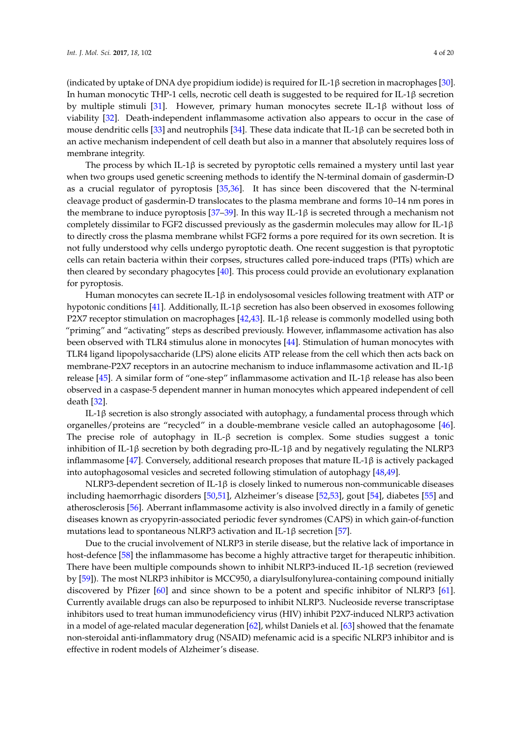(indicated by uptake of DNA dye propidium iodide) is required for IL-1β secretion in macrophages [\[30\]](#page-11-5). In human monocytic THP-1 cells, necrotic cell death is suggested to be required for IL-1β secretion by multiple stimuli [\[31\]](#page-11-6). However, primary human monocytes secrete IL-1β without loss of viability [\[32\]](#page-11-7). Death-independent inflammasome activation also appears to occur in the case of mouse dendritic cells [\[33\]](#page-11-8) and neutrophils [\[34\]](#page-11-9). These data indicate that IL-1 $\beta$  can be secreted both in an active mechanism independent of cell death but also in a manner that absolutely requires loss of membrane integrity.

The process by which IL-1β is secreted by pyroptotic cells remained a mystery until last year when two groups used genetic screening methods to identify the N-terminal domain of gasdermin-D as a crucial regulator of pyroptosis [\[35](#page-11-10)[,36\]](#page-11-11). It has since been discovered that the N-terminal cleavage product of gasdermin-D translocates to the plasma membrane and forms 10–14 nm pores in the membrane to induce pyroptosis [\[37–](#page-11-12)[39\]](#page-11-13). In this way IL-1 $\beta$  is secreted through a mechanism not completely dissimilar to FGF2 discussed previously as the gasdermin molecules may allow for IL-1 $\beta$ to directly cross the plasma membrane whilst FGF2 forms a pore required for its own secretion. It is not fully understood why cells undergo pyroptotic death. One recent suggestion is that pyroptotic cells can retain bacteria within their corpses, structures called pore-induced traps (PITs) which are then cleared by secondary phagocytes [\[40\]](#page-11-14). This process could provide an evolutionary explanation for pyroptosis.

Human monocytes can secrete IL-1β in endolysosomal vesicles following treatment with ATP or hypotonic conditions [\[41\]](#page-11-15). Additionally, IL-1β secretion has also been observed in exosomes following P2X7 receptor stimulation on macrophages [\[42](#page-11-16)[,43\]](#page-11-17). IL-1β release is commonly modelled using both "priming" and "activating" steps as described previously. However, inflammasome activation has also been observed with TLR4 stimulus alone in monocytes [\[44\]](#page-12-0). Stimulation of human monocytes with TLR4 ligand lipopolysaccharide (LPS) alone elicits ATP release from the cell which then acts back on membrane-P2X7 receptors in an autocrine mechanism to induce inflammasome activation and IL-1 $\beta$ release [\[45\]](#page-12-1). A similar form of "one-step" inflammasome activation and IL-1β release has also been observed in a caspase-5 dependent manner in human monocytes which appeared independent of cell death [\[32\]](#page-11-7).

IL-1β secretion is also strongly associated with autophagy, a fundamental process through which organelles/proteins are "recycled" in a double-membrane vesicle called an autophagosome [\[46\]](#page-12-2). The precise role of autophagy in IL-β secretion is complex. Some studies suggest a tonic inhibition of IL-1β secretion by both degrading pro-IL-1β and by negatively regulating the NLRP3 inflammasome [\[47\]](#page-12-3). Conversely, additional research proposes that mature IL-1 $\beta$  is actively packaged into autophagosomal vesicles and secreted following stimulation of autophagy [\[48](#page-12-4)[,49\]](#page-12-5).

NLRP3-dependent secretion of IL-1β is closely linked to numerous non-communicable diseases including haemorrhagic disorders [\[50](#page-12-6)[,51\]](#page-12-7), Alzheimer's disease [\[52](#page-12-8)[,53\]](#page-12-9), gout [\[54\]](#page-12-10), diabetes [\[55\]](#page-12-11) and atherosclerosis [\[56\]](#page-12-12). Aberrant inflammasome activity is also involved directly in a family of genetic diseases known as cryopyrin-associated periodic fever syndromes (CAPS) in which gain-of-function mutations lead to spontaneous NLRP3 activation and IL-1 $\beta$  secretion [\[57\]](#page-12-13).

Due to the crucial involvement of NLRP3 in sterile disease, but the relative lack of importance in host-defence [\[58\]](#page-12-14) the inflammasome has become a highly attractive target for therapeutic inhibition. There have been multiple compounds shown to inhibit NLRP3-induced IL-1β secretion (reviewed by [\[59\]](#page-12-15)). The most NLRP3 inhibitor is MCC950, a diarylsulfonylurea-containing compound initially discovered by Pfizer [\[60\]](#page-12-16) and since shown to be a potent and specific inhibitor of NLRP3 [\[61\]](#page-12-17). Currently available drugs can also be repurposed to inhibit NLRP3. Nucleoside reverse transcriptase inhibitors used to treat human immunodeficiency virus (HIV) inhibit P2X7-induced NLRP3 activation in a model of age-related macular degeneration [\[62\]](#page-12-18), whilst Daniels et al. [\[63\]](#page-13-0) showed that the fenamate non-steroidal anti-inflammatory drug (NSAID) mefenamic acid is a specific NLRP3 inhibitor and is effective in rodent models of Alzheimer's disease.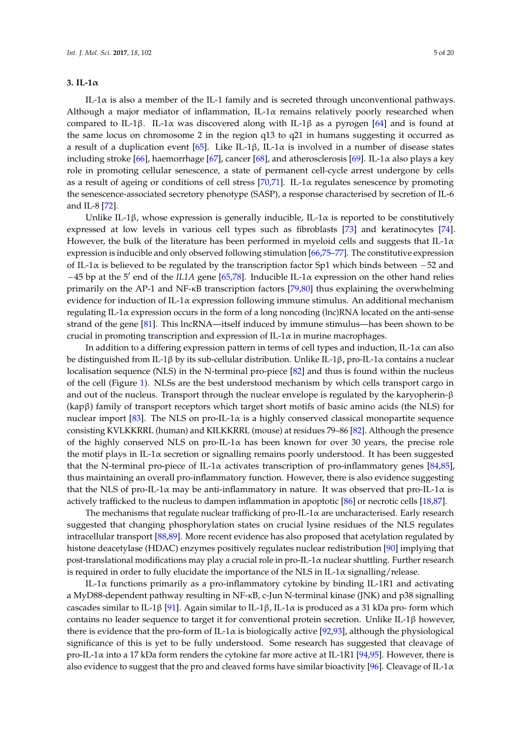#### **3. IL-1**α

IL-1 $\alpha$  is also a member of the IL-1 family and is secreted through unconventional pathways. Although a major mediator of inflammation, IL-1 $\alpha$  remains relatively poorly researched when compared to IL-1β. IL-1α was discovered along with IL-1β as a pyrogen [\[64\]](#page-13-1) and is found at the same locus on chromosome 2 in the region q13 to q21 in humans suggesting it occurred as a result of a duplication event [\[65\]](#page-13-2). Like IL-1β, IL-1α is involved in a number of disease states including stroke [\[66\]](#page-13-3), haemorrhage [\[67\]](#page-13-4), cancer [\[68\]](#page-13-5), and atherosclerosis [\[69\]](#page-13-6). IL-1 $\alpha$  also plays a key role in promoting cellular senescence, a state of permanent cell-cycle arrest undergone by cells as a result of ageing or conditions of cell stress  $[70,71]$  $[70,71]$ . IL-1 $\alpha$  regulates senescence by promoting the senescence-associated secretory phenotype (SASP), a response characterised by secretion of IL-6 and IL-8 [\[72\]](#page-13-9).

Unlike IL-1β, whose expression is generally inducible, IL-1 $\alpha$  is reported to be constitutively expressed at low levels in various cell types such as fibroblasts [\[73\]](#page-13-10) and keratinocytes [\[74\]](#page-13-11). However, the bulk of the literature has been performed in myeloid cells and suggests that IL-1 $\alpha$ expression is inducible and only observed following stimulation [\[66,](#page-13-3)[75](#page-13-12)[–77\]](#page-13-13). The constitutive expression of IL-1 $\alpha$  is believed to be regulated by the transcription factor Sp1 which binds between -52 and  $-45$  bp at the 5' end of the *IL1A* gene [\[65](#page-13-2)[,78\]](#page-13-14). Inducible IL-1α expression on the other hand relies primarily on the AP-1 and NF-κB transcription factors [\[79,](#page-13-15)[80\]](#page-13-16) thus explaining the overwhelming evidence for induction of IL-1 $\alpha$  expression following immune stimulus. An additional mechanism regulating IL-1α expression occurs in the form of a long noncoding (lnc)RNA located on the anti-sense strand of the gene [\[81\]](#page-14-0). This lncRNA—itself induced by immune stimulus—has been shown to be crucial in promoting transcription and expression of IL-1 $\alpha$  in murine macrophages.

In addition to a differing expression pattern in terms of cell types and induction, IL-1α can also be distinguished from IL-1β by its sub-cellular distribution. Unlike IL-1β, pro-IL-1α contains a nuclear localisation sequence (NLS) in the N-terminal pro-piece [\[82\]](#page-14-1) and thus is found within the nucleus of the cell (Figure [1\)](#page-2-0). NLSs are the best understood mechanism by which cells transport cargo in and out of the nucleus. Transport through the nuclear envelope is regulated by the karyopherin-β (kapβ) family of transport receptors which target short motifs of basic amino acids (the NLS) for nuclear import [\[83\]](#page-14-2). The NLS on pro-IL-1α is a highly conserved classical monopartite sequence consisting KVLKKRRL (human) and KILKKRRL (mouse) at residues 79–86 [\[82\]](#page-14-1). Although the presence of the highly conserved NLS on pro-IL-1 $\alpha$  has been known for over 30 years, the precise role the motif plays in IL-1 $\alpha$  secretion or signalling remains poorly understood. It has been suggested that the N-terminal pro-piece of IL-1 $\alpha$  activates transcription of pro-inflammatory genes [\[84,](#page-14-3)[85\]](#page-14-4), thus maintaining an overall pro-inflammatory function. However, there is also evidence suggesting that the NLS of pro-IL-1 $\alpha$  may be anti-inflammatory in nature. It was observed that pro-IL-1 $\alpha$  is actively trafficked to the nucleus to dampen inflammation in apoptotic [\[86\]](#page-14-5) or necrotic cells [\[18](#page-10-15)[,87\]](#page-14-6).

The mechanisms that regulate nuclear trafficking of pro-IL-1α are uncharacterised. Early research suggested that changing phosphorylation states on crucial lysine residues of the NLS regulates intracellular transport [\[88](#page-14-7)[,89\]](#page-14-8). More recent evidence has also proposed that acetylation regulated by histone deacetylase (HDAC) enzymes positively regulates nuclear redistribution [\[90\]](#page-14-9) implying that post-translational modifications may play a crucial role in pro-IL-1α nuclear shuttling. Further research is required in order to fully elucidate the importance of the NLS in IL-1 $\alpha$  signalling/release.

IL-1 $\alpha$  functions primarily as a pro-inflammatory cytokine by binding IL-1R1 and activating a MyD88-dependent pathway resulting in NF-κB, c-Jun N-terminal kinase (JNK) and p38 signalling cascades similar to IL-1β [\[91\]](#page-14-10). Again similar to IL-1β, IL-1 $\alpha$  is produced as a 31 kDa pro- form which contains no leader sequence to target it for conventional protein secretion. Unlike IL-1 $\beta$  however, there is evidence that the pro-form of IL-1 $\alpha$  is biologically active [\[92,](#page-14-11)[93\]](#page-14-12), although the physiological significance of this is yet to be fully understood. Some research has suggested that cleavage of pro-IL-1 $\alpha$  into a 17 kDa form renders the cytokine far more active at IL-1R1 [\[94,](#page-14-13)[95\]](#page-14-14). However, there is also evidence to suggest that the pro and cleaved forms have similar bioactivity [\[96\]](#page-14-15). Cleavage of IL-1 $\alpha$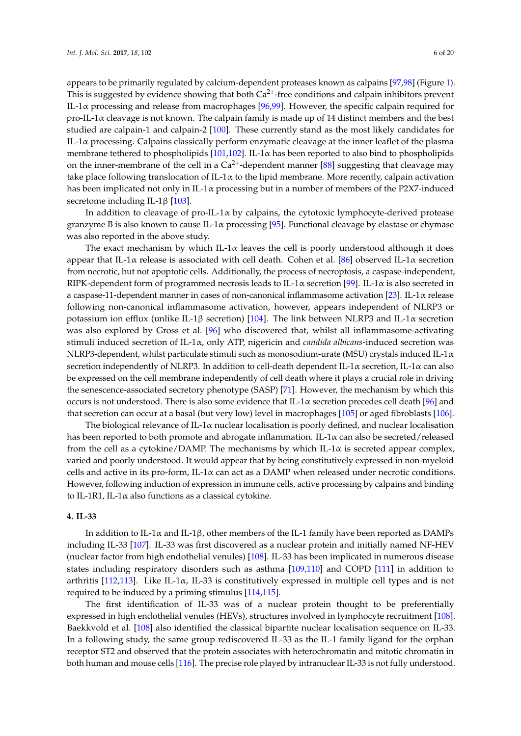appears to be primarily regulated by calcium-dependent proteases known as calpains [\[97,](#page-14-16)[98\]](#page-14-17) (Figure [1\)](#page-2-0). This is suggested by evidence showing that both  $Ca<sup>2+</sup>$ -free conditions and calpain inhibitors prevent IL-1α processing and release from macrophages [\[96,](#page-14-15)[99\]](#page-14-18). However, the specific calpain required for pro-IL-1 $\alpha$  cleavage is not known. The calpain family is made up of 14 distinct members and the best studied are calpain-1 and calpain-2 [\[100\]](#page-14-19). These currently stand as the most likely candidates for IL-1 $\alpha$  processing. Calpains classically perform enzymatic cleavage at the inner leaflet of the plasma membrane tethered to phospholipids  $[101,102]$  $[101,102]$ . IL-1 $\alpha$  has been reported to also bind to phospholipids on the inner-membrane of the cell in a  $Ca^{2+}$ -dependent manner [\[88\]](#page-14-7) suggesting that cleavage may take place following translocation of IL-1 $\alpha$  to the lipid membrane. More recently, calpain activation has been implicated not only in IL-1 $\alpha$  processing but in a number of members of the P2X7-induced secretome including IL-1β [\[103\]](#page-15-2).

In addition to cleavage of  $pro-IL-1\alpha$  by calpains, the cytotoxic lymphocyte-derived protease granzyme B is also known to cause IL-1 $\alpha$  processing [\[95\]](#page-14-14). Functional cleavage by elastase or chymase was also reported in the above study.

The exact mechanism by which IL-1 $\alpha$  leaves the cell is poorly understood although it does appear that IL-1 $\alpha$  release is associated with cell death. Cohen et al. [\[86\]](#page-14-5) observed IL-1 $\alpha$  secretion from necrotic, but not apoptotic cells. Additionally, the process of necroptosis, a caspase-independent, RIPK-dependent form of programmed necrosis leads to IL-1 $\alpha$  secretion [\[99\]](#page-14-18). IL-1 $\alpha$  is also secreted in a caspase-11-dependent manner in cases of non-canonical inflammasome activation [\[23\]](#page-10-20). IL-1 $\alpha$  release following non-canonical inflammasome activation, however, appears independent of NLRP3 or potassium ion efflux (unlike IL-1β secretion) [\[104\]](#page-15-3). The link between NLRP3 and IL-1α secretion was also explored by Gross et al. [\[96\]](#page-14-15) who discovered that, whilst all inflammasome-activating stimuli induced secretion of IL-1α, only ATP, nigericin and *candida albicans*-induced secretion was NLRP3-dependent, whilst particulate stimuli such as monosodium-urate (MSU) crystals induced IL-1α secretion independently of NLRP3. In addition to cell-death dependent IL-1 $\alpha$  secretion, IL-1 $\alpha$  can also be expressed on the cell membrane independently of cell death where it plays a crucial role in driving the senescence-associated secretory phenotype (SASP) [\[71\]](#page-13-8). However, the mechanism by which this occurs is not understood. There is also some evidence that IL-1 $\alpha$  secretion precedes cell death [\[96\]](#page-14-15) and that secretion can occur at a basal (but very low) level in macrophages [\[105\]](#page-15-4) or aged fibroblasts [\[106\]](#page-15-5).

The biological relevance of IL-1 $\alpha$  nuclear localisation is poorly defined, and nuclear localisation has been reported to both promote and abrogate inflammation. IL-1α can also be secreted/released from the cell as a cytokine/DAMP. The mechanisms by which IL-1 $\alpha$  is secreted appear complex, varied and poorly understood. It would appear that by being constitutively expressed in non-myeloid cells and active in its pro-form, IL-1 $\alpha$  can act as a DAMP when released under necrotic conditions. However, following induction of expression in immune cells, active processing by calpains and binding to IL-1R1, IL-1α also functions as a classical cytokine.

#### **4. IL-33**

In addition to IL-1 $\alpha$  and IL-1 $\beta$ , other members of the IL-1 family have been reported as DAMPs including IL-33 [\[107\]](#page-15-6). IL-33 was first discovered as a nuclear protein and initially named NF-HEV (nuclear factor from high endothelial venules) [\[108\]](#page-15-7). IL-33 has been implicated in numerous disease states including respiratory disorders such as asthma [\[109,](#page-15-8)[110\]](#page-15-9) and COPD [\[111\]](#page-15-10) in addition to arthritis [\[112](#page-15-11)[,113\]](#page-15-12). Like IL-1 $\alpha$ , IL-33 is constitutively expressed in multiple cell types and is not required to be induced by a priming stimulus [\[114,](#page-15-13)[115\]](#page-15-14).

The first identification of IL-33 was of a nuclear protein thought to be preferentially expressed in high endothelial venules (HEVs), structures involved in lymphocyte recruitment [\[108\]](#page-15-7). Baekkvold et al. [\[108\]](#page-15-7) also identified the classical bipartite nuclear localisation sequence on IL-33. In a following study, the same group rediscovered IL-33 as the IL-1 family ligand for the orphan receptor ST2 and observed that the protein associates with heterochromatin and mitotic chromatin in both human and mouse cells [\[116\]](#page-15-15). The precise role played by intranuclear IL-33 is not fully understood.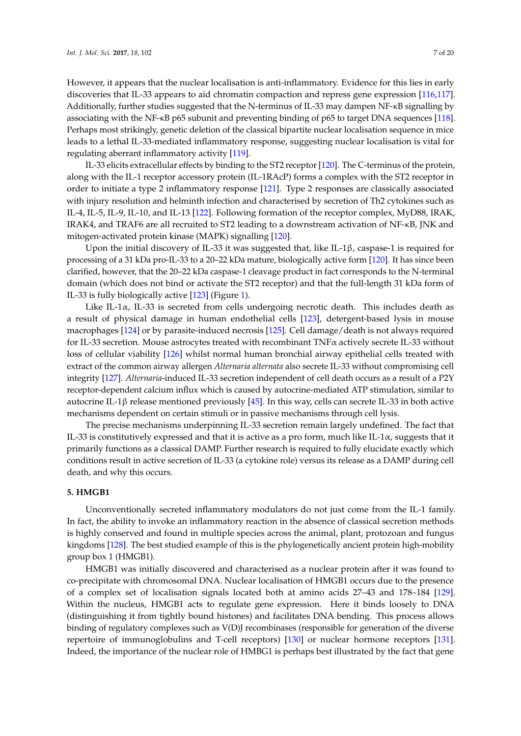However, it appears that the nuclear localisation is anti-inflammatory. Evidence for this lies in early discoveries that IL-33 appears to aid chromatin compaction and repress gene expression [\[116,](#page-15-15)[117\]](#page-15-16). Additionally, further studies suggested that the N-terminus of IL-33 may dampen NF-κB signalling by associating with the NF-κB p65 subunit and preventing binding of p65 to target DNA sequences [\[118\]](#page-15-17). Perhaps most strikingly, genetic deletion of the classical bipartite nuclear localisation sequence in mice leads to a lethal IL-33-mediated inflammatory response, suggesting nuclear localisation is vital for regulating aberrant inflammatory activity [\[119\]](#page-16-0).

IL-33 elicits extracellular effects by binding to the ST2 receptor [\[120\]](#page-16-1). The C-terminus of the protein, along with the IL-1 receptor accessory protein (IL-1RAcP) forms a complex with the ST2 receptor in order to initiate a type 2 inflammatory response [\[121\]](#page-16-2). Type 2 responses are classically associated with injury resolution and helminth infection and characterised by secretion of Th2 cytokines such as IL-4, IL-5, IL-9, IL-10, and IL-13 [\[122\]](#page-16-3). Following formation of the receptor complex, MyD88, IRAK, IRAK4, and TRAF6 are all recruited to ST2 leading to a downstream activation of NF-κB, JNK and mitogen-activated protein kinase (MAPK) signalling [\[120\]](#page-16-1).

Upon the initial discovery of IL-33 it was suggested that, like IL-1β, caspase-1 is required for processing of a 31 kDa pro-IL-33 to a 20–22 kDa mature, biologically active form [\[120\]](#page-16-1). It has since been clarified, however, that the 20–22 kDa caspase-1 cleavage product in fact corresponds to the N-terminal domain (which does not bind or activate the ST2 receptor) and that the full-length 31 kDa form of IL-33 is fully biologically active [\[123\]](#page-16-4) (Figure [1\)](#page-2-0).

Like IL-1 $\alpha$ , IL-33 is secreted from cells undergoing necrotic death. This includes death as a result of physical damage in human endothelial cells [\[123\]](#page-16-4), detergent-based lysis in mouse macrophages [\[124\]](#page-16-5) or by parasite-induced necrosis [\[125\]](#page-16-6). Cell damage/death is not always required for IL-33 secretion. Mouse astrocytes treated with recombinant TNFα actively secrete IL-33 without loss of cellular viability [\[126\]](#page-16-7) whilst normal human bronchial airway epithelial cells treated with extract of the common airway allergen *Alternaria alternata* also secrete IL-33 without compromising cell integrity [\[127\]](#page-16-8). *Alternaria*-induced IL-33 secretion independent of cell death occurs as a result of a P2Y receptor-dependent calcium influx which is caused by autocrine-mediated ATP stimulation, similar to autocrine IL-1β release mentioned previously [\[45\]](#page-12-1). In this way, cells can secrete IL-33 in both active mechanisms dependent on certain stimuli or in passive mechanisms through cell lysis.

The precise mechanisms underpinning IL-33 secretion remain largely undefined. The fact that IL-33 is constitutively expressed and that it is active as a pro form, much like IL-1 $\alpha$ , suggests that it primarily functions as a classical DAMP. Further research is required to fully elucidate exactly which conditions result in active secretion of IL-33 (a cytokine role) versus its release as a DAMP during cell death, and why this occurs.

#### **5. HMGB1**

Unconventionally secreted inflammatory modulators do not just come from the IL-1 family. In fact, the ability to invoke an inflammatory reaction in the absence of classical secretion methods is highly conserved and found in multiple species across the animal, plant, protozoan and fungus kingdoms [\[128\]](#page-16-9). The best studied example of this is the phylogenetically ancient protein high-mobility group box 1 (HMGB1).

HMGB1 was initially discovered and characterised as a nuclear protein after it was found to co-precipitate with chromosomal DNA. Nuclear localisation of HMGB1 occurs due to the presence of a complex set of localisation signals located both at amino acids 27–43 and 178–184 [\[129\]](#page-16-10). Within the nucleus, HMGB1 acts to regulate gene expression. Here it binds loosely to DNA (distinguishing it from tightly bound histones) and facilitates DNA bending. This process allows binding of regulatory complexes such as V(D)J recombinases (responsible for generation of the diverse repertoire of immunoglobulins and T-cell receptors) [\[130\]](#page-16-11) or nuclear hormone receptors [\[131\]](#page-16-12). Indeed, the importance of the nuclear role of HMBG1 is perhaps best illustrated by the fact that gene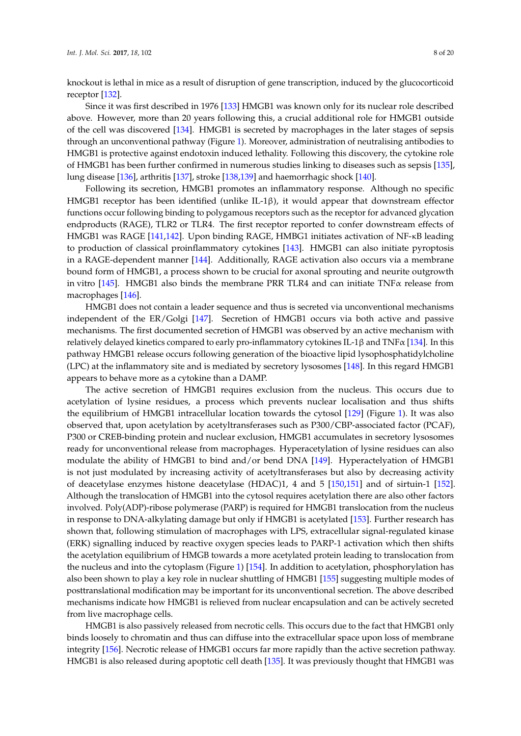knockout is lethal in mice as a result of disruption of gene transcription, induced by the glucocorticoid receptor [\[132\]](#page-16-13).

Since it was first described in 1976 [\[133\]](#page-16-14) HMGB1 was known only for its nuclear role described above. However, more than 20 years following this, a crucial additional role for HMGB1 outside of the cell was discovered [\[134\]](#page-16-15). HMGB1 is secreted by macrophages in the later stages of sepsis through an unconventional pathway (Figure [1\)](#page-2-0). Moreover, administration of neutralising antibodies to HMGB1 is protective against endotoxin induced lethality. Following this discovery, the cytokine role of HMGB1 has been further confirmed in numerous studies linking to diseases such as sepsis [\[135\]](#page-16-16), lung disease [\[136\]](#page-16-17), arthritis [\[137\]](#page-16-18), stroke [\[138,](#page-17-0)[139\]](#page-17-1) and haemorrhagic shock [\[140\]](#page-17-2).

Following its secretion, HMGB1 promotes an inflammatory response. Although no specific HMGB1 receptor has been identified (unlike IL-1β), it would appear that downstream effector functions occur following binding to polygamous receptors such as the receptor for advanced glycation endproducts (RAGE), TLR2 or TLR4. The first receptor reported to confer downstream effects of HMGB1 was RAGE [\[141,](#page-17-3)[142\]](#page-17-4). Upon binding RAGE, HMBG1 initiates activation of NF-κB leading to production of classical proinflammatory cytokines [\[143\]](#page-17-5). HMGB1 can also initiate pyroptosis in a RAGE-dependent manner [\[144\]](#page-17-6). Additionally, RAGE activation also occurs via a membrane bound form of HMGB1, a process shown to be crucial for axonal sprouting and neurite outgrowth in vitro [\[145\]](#page-17-7). HMGB1 also binds the membrane PRR TLR4 and can initiate TNFα release from macrophages [\[146\]](#page-17-8).

HMGB1 does not contain a leader sequence and thus is secreted via unconventional mechanisms independent of the ER/Golgi [\[147\]](#page-17-9). Secretion of HMGB1 occurs via both active and passive mechanisms. The first documented secretion of HMGB1 was observed by an active mechanism with relatively delayed kinetics compared to early pro-inflammatory cytokines IL-1 $\beta$  and TNF $\alpha$  [\[134\]](#page-16-15). In this pathway HMGB1 release occurs following generation of the bioactive lipid lysophosphatidylcholine (LPC) at the inflammatory site and is mediated by secretory lysosomes [\[148\]](#page-17-10). In this regard HMGB1 appears to behave more as a cytokine than a DAMP.

The active secretion of HMGB1 requires exclusion from the nucleus. This occurs due to acetylation of lysine residues, a process which prevents nuclear localisation and thus shifts the equilibrium of HMGB1 intracellular location towards the cytosol [\[129\]](#page-16-10) (Figure [1\)](#page-2-0). It was also observed that, upon acetylation by acetyltransferases such as P300/CBP-associated factor (PCAF), P300 or CREB-binding protein and nuclear exclusion, HMGB1 accumulates in secretory lysosomes ready for unconventional release from macrophages. Hyperacetylation of lysine residues can also modulate the ability of HMGB1 to bind and/or bend DNA [\[149\]](#page-17-11). Hyperactelyation of HMGB1 is not just modulated by increasing activity of acetyltransferases but also by decreasing activity of deacetylase enzymes histone deacetylase (HDAC)1, 4 and 5 [\[150](#page-17-12)[,151\]](#page-17-13) and of sirtuin-1 [\[152\]](#page-17-14). Although the translocation of HMGB1 into the cytosol requires acetylation there are also other factors involved. Poly(ADP)-ribose polymerase (PARP) is required for HMGB1 translocation from the nucleus in response to DNA-alkylating damage but only if HMGB1 is acetylated [\[153\]](#page-17-15). Further research has shown that, following stimulation of macrophages with LPS, extracellular signal-regulated kinase (ERK) signalling induced by reactive oxygen species leads to PARP-1 activation which then shifts the acetylation equilibrium of HMGB towards a more acetylated protein leading to translocation from the nucleus and into the cytoplasm (Figure [1\)](#page-2-0) [\[154\]](#page-17-16). In addition to acetylation, phosphorylation has also been shown to play a key role in nuclear shuttling of HMGB1 [\[155\]](#page-17-17) suggesting multiple modes of posttranslational modification may be important for its unconventional secretion. The above described mechanisms indicate how HMGB1 is relieved from nuclear encapsulation and can be actively secreted from live macrophage cells.

HMGB1 is also passively released from necrotic cells. This occurs due to the fact that HMGB1 only binds loosely to chromatin and thus can diffuse into the extracellular space upon loss of membrane integrity [\[156\]](#page-18-0). Necrotic release of HMGB1 occurs far more rapidly than the active secretion pathway. HMGB1 is also released during apoptotic cell death [\[135\]](#page-16-16). It was previously thought that HMGB1 was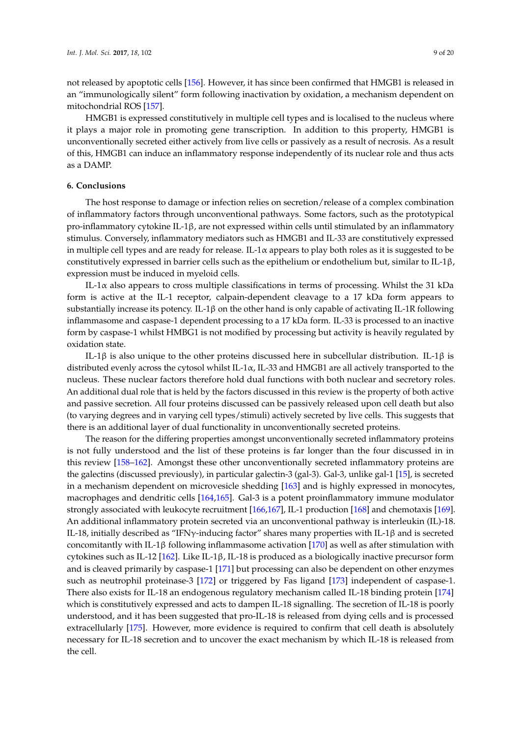not released by apoptotic cells [\[156\]](#page-18-0). However, it has since been confirmed that HMGB1 is released in an "immunologically silent" form following inactivation by oxidation, a mechanism dependent on mitochondrial ROS [\[157\]](#page-18-1).

HMGB1 is expressed constitutively in multiple cell types and is localised to the nucleus where it plays a major role in promoting gene transcription. In addition to this property, HMGB1 is unconventionally secreted either actively from live cells or passively as a result of necrosis. As a result of this, HMGB1 can induce an inflammatory response independently of its nuclear role and thus acts as a DAMP.

#### **6. Conclusions**

The host response to damage or infection relies on secretion/release of a complex combination of inflammatory factors through unconventional pathways. Some factors, such as the prototypical pro-inflammatory cytokine IL-1β, are not expressed within cells until stimulated by an inflammatory stimulus. Conversely, inflammatory mediators such as HMGB1 and IL-33 are constitutively expressed in multiple cell types and are ready for release. IL-1α appears to play both roles as it is suggested to be constitutively expressed in barrier cells such as the epithelium or endothelium but, similar to IL-1 $\beta$ , expression must be induced in myeloid cells.

IL-1 $\alpha$  also appears to cross multiple classifications in terms of processing. Whilst the 31 kDa form is active at the IL-1 receptor, calpain-dependent cleavage to a 17 kDa form appears to substantially increase its potency. IL-1β on the other hand is only capable of activating IL-1R following inflammasome and caspase-1 dependent processing to a 17 kDa form. IL-33 is processed to an inactive form by caspase-1 whilst HMBG1 is not modified by processing but activity is heavily regulated by oxidation state.

IL-1β is also unique to the other proteins discussed here in subcellular distribution. IL-1β is distributed evenly across the cytosol whilst IL-1 $\alpha$ , IL-33 and HMGB1 are all actively transported to the nucleus. These nuclear factors therefore hold dual functions with both nuclear and secretory roles. An additional dual role that is held by the factors discussed in this review is the property of both active and passive secretion. All four proteins discussed can be passively released upon cell death but also (to varying degrees and in varying cell types/stimuli) actively secreted by live cells. This suggests that there is an additional layer of dual functionality in unconventionally secreted proteins.

The reason for the differing properties amongst unconventionally secreted inflammatory proteins is not fully understood and the list of these proteins is far longer than the four discussed in in this review [\[158–](#page-18-2)[162\]](#page-18-3). Amongst these other unconventionally secreted inflammatory proteins are the galectins (discussed previously), in particular galectin-3 (gal-3). Gal-3, unlike gal-1 [\[15\]](#page-10-12), is secreted in a mechanism dependent on microvesicle shedding [\[163\]](#page-18-4) and is highly expressed in monocytes, macrophages and dendritic cells [\[164](#page-18-5)[,165\]](#page-18-6). Gal-3 is a potent proinflammatory immune modulator strongly associated with leukocyte recruitment [\[166](#page-18-7)[,167\]](#page-18-8), IL-1 production [\[168\]](#page-18-9) and chemotaxis [\[169\]](#page-18-10). An additional inflammatory protein secreted via an unconventional pathway is interleukin (IL)-18. IL-18, initially described as "IFNγ-inducing factor" shares many properties with IL-1β and is secreted concomitantly with IL-1β following inflammasome activation [\[170\]](#page-18-11) as well as after stimulation with cytokines such as IL-12 [\[162\]](#page-18-3). Like IL-1β, IL-18 is produced as a biologically inactive precursor form and is cleaved primarily by caspase-1 [\[171\]](#page-18-12) but processing can also be dependent on other enzymes such as neutrophil proteinase-3 [\[172\]](#page-18-13) or triggered by Fas ligand [\[173\]](#page-18-14) independent of caspase-1. There also exists for IL-18 an endogenous regulatory mechanism called IL-18 binding protein [\[174\]](#page-18-15) which is constitutively expressed and acts to dampen IL-18 signalling. The secretion of IL-18 is poorly understood, and it has been suggested that pro-IL-18 is released from dying cells and is processed extracellularly [\[175\]](#page-18-16). However, more evidence is required to confirm that cell death is absolutely necessary for IL-18 secretion and to uncover the exact mechanism by which IL-18 is released from the cell.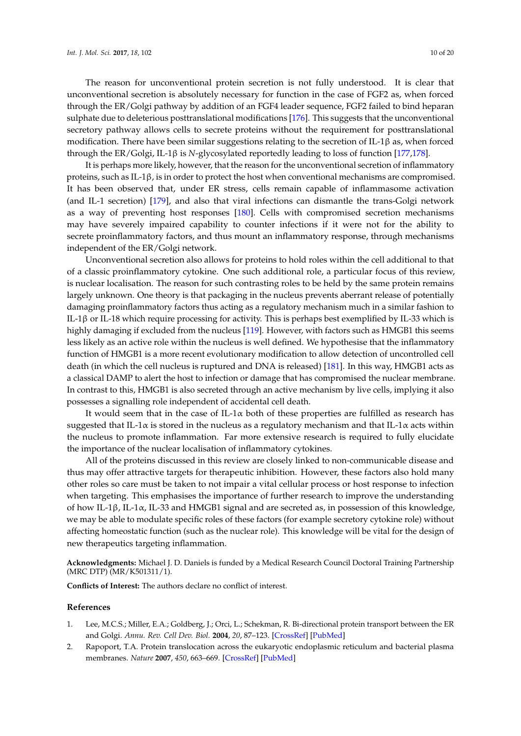The reason for unconventional protein secretion is not fully understood. It is clear that unconventional secretion is absolutely necessary for function in the case of FGF2 as, when forced through the ER/Golgi pathway by addition of an FGF4 leader sequence, FGF2 failed to bind heparan sulphate due to deleterious posttranslational modifications [\[176\]](#page-19-0). This suggests that the unconventional secretory pathway allows cells to secrete proteins without the requirement for posttranslational modification. There have been similar suggestions relating to the secretion of IL-1 $\beta$  as, when forced through the ER/Golgi, IL-1β is *N*-glycosylated reportedly leading to loss of function [\[177,](#page-19-1)[178\]](#page-19-2).

It is perhaps more likely, however, that the reason for the unconventional secretion of inflammatory proteins, such as IL-1β, is in order to protect the host when conventional mechanisms are compromised. It has been observed that, under ER stress, cells remain capable of inflammasome activation (and IL-1 secretion) [\[179\]](#page-19-3), and also that viral infections can dismantle the trans-Golgi network as a way of preventing host responses [\[180\]](#page-19-4). Cells with compromised secretion mechanisms may have severely impaired capability to counter infections if it were not for the ability to secrete proinflammatory factors, and thus mount an inflammatory response, through mechanisms independent of the ER/Golgi network.

Unconventional secretion also allows for proteins to hold roles within the cell additional to that of a classic proinflammatory cytokine. One such additional role, a particular focus of this review, is nuclear localisation. The reason for such contrasting roles to be held by the same protein remains largely unknown. One theory is that packaging in the nucleus prevents aberrant release of potentially damaging proinflammatory factors thus acting as a regulatory mechanism much in a similar fashion to IL-1β or IL-18 which require processing for activity. This is perhaps best exemplified by IL-33 which is highly damaging if excluded from the nucleus [\[119\]](#page-16-0). However, with factors such as HMGB1 this seems less likely as an active role within the nucleus is well defined. We hypothesise that the inflammatory function of HMGB1 is a more recent evolutionary modification to allow detection of uncontrolled cell death (in which the cell nucleus is ruptured and DNA is released) [\[181\]](#page-19-5). In this way, HMGB1 acts as a classical DAMP to alert the host to infection or damage that has compromised the nuclear membrane. In contrast to this, HMGB1 is also secreted through an active mechanism by live cells, implying it also possesses a signalling role independent of accidental cell death.

It would seem that in the case of IL-1 $\alpha$  both of these properties are fulfilled as research has suggested that IL-1 $\alpha$  is stored in the nucleus as a regulatory mechanism and that IL-1 $\alpha$  acts within the nucleus to promote inflammation. Far more extensive research is required to fully elucidate the importance of the nuclear localisation of inflammatory cytokines.

All of the proteins discussed in this review are closely linked to non-communicable disease and thus may offer attractive targets for therapeutic inhibition. However, these factors also hold many other roles so care must be taken to not impair a vital cellular process or host response to infection when targeting. This emphasises the importance of further research to improve the understanding of how IL-1β, IL-1α, IL-33 and HMGB1 signal and are secreted as, in possession of this knowledge, we may be able to modulate specific roles of these factors (for example secretory cytokine role) without affecting homeostatic function (such as the nuclear role). This knowledge will be vital for the design of new therapeutics targeting inflammation.

**Acknowledgments:** Michael J. D. Daniels is funded by a Medical Research Council Doctoral Training Partnership (MRC DTP) (MR/K501311/1).

**Conflicts of Interest:** The authors declare no conflict of interest.

#### **References**

- <span id="page-9-0"></span>1. Lee, M.C.S.; Miller, E.A.; Goldberg, J.; Orci, L.; Schekman, R. Bi-directional protein transport between the ER and Golgi. *Annu. Rev. Cell Dev. Biol.* **2004**, *20*, 87–123. [\[CrossRef\]](http://dx.doi.org/10.1146/annurev.cellbio.20.010403.105307) [\[PubMed\]](http://www.ncbi.nlm.nih.gov/pubmed/15473836)
- <span id="page-9-1"></span>2. Rapoport, T.A. Protein translocation across the eukaryotic endoplasmic reticulum and bacterial plasma membranes. *Nature* **2007**, *450*, 663–669. [\[CrossRef\]](http://dx.doi.org/10.1038/nature06384) [\[PubMed\]](http://www.ncbi.nlm.nih.gov/pubmed/18046402)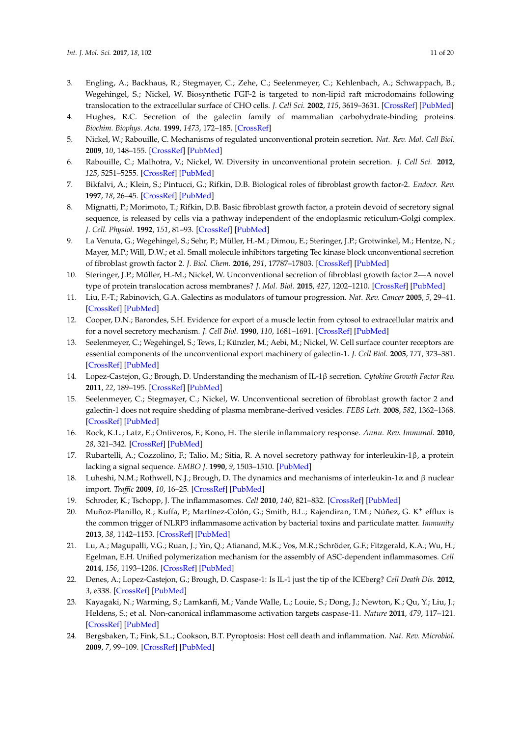- <span id="page-10-0"></span>3. Engling, A.; Backhaus, R.; Stegmayer, C.; Zehe, C.; Seelenmeyer, C.; Kehlenbach, A.; Schwappach, B.; Wegehingel, S.; Nickel, W. Biosynthetic FGF-2 is targeted to non-lipid raft microdomains following translocation to the extracellular surface of CHO cells. *J. Cell Sci.* **2002**, *115*, 3619–3631. [\[CrossRef\]](http://dx.doi.org/10.1242/jcs.00036) [\[PubMed\]](http://www.ncbi.nlm.nih.gov/pubmed/12186948)
- <span id="page-10-1"></span>4. Hughes, R.C. Secretion of the galectin family of mammalian carbohydrate-binding proteins. *Biochim. Biophys. Acta.* **1999**, *1473*, 172–185. [\[CrossRef\]](http://dx.doi.org/10.1016/S0304-4165(99)00177-4)
- <span id="page-10-2"></span>5. Nickel, W.; Rabouille, C. Mechanisms of regulated unconventional protein secretion. *Nat. Rev. Mol. Cell Biol.* **2009**, *10*, 148–155. [\[CrossRef\]](http://dx.doi.org/10.1038/nrm2617) [\[PubMed\]](http://www.ncbi.nlm.nih.gov/pubmed/19122676)
- <span id="page-10-3"></span>6. Rabouille, C.; Malhotra, V.; Nickel, W. Diversity in unconventional protein secretion. *J. Cell Sci.* **2012**, *125*, 5251–5255. [\[CrossRef\]](http://dx.doi.org/10.1242/jcs.103630) [\[PubMed\]](http://www.ncbi.nlm.nih.gov/pubmed/23377655)
- <span id="page-10-4"></span>7. Bikfalvi, A.; Klein, S.; Pintucci, G.; Rifkin, D.B. Biological roles of fibroblast growth factor-2. *Endocr. Rev.* **1997**, *18*, 26–45. [\[CrossRef\]](http://dx.doi.org/10.1210/er.18.1.26) [\[PubMed\]](http://www.ncbi.nlm.nih.gov/pubmed/9034785)
- <span id="page-10-5"></span>8. Mignatti, P.; Morimoto, T.; Rifkin, D.B. Basic fibroblast growth factor, a protein devoid of secretory signal sequence, is released by cells via a pathway independent of the endoplasmic reticulum-Golgi complex. *J. Cell. Physiol.* **1992**, *151*, 81–93. [\[CrossRef\]](http://dx.doi.org/10.1002/jcp.1041510113) [\[PubMed\]](http://www.ncbi.nlm.nih.gov/pubmed/1560052)
- <span id="page-10-6"></span>9. La Venuta, G.; Wegehingel, S.; Sehr, P.; Müller, H.-M.; Dimou, E.; Steringer, J.P.; Grotwinkel, M.; Hentze, N.; Mayer, M.P.; Will, D.W.; et al. Small molecule inhibitors targeting Tec kinase block unconventional secretion of fibroblast growth factor 2. *J. Biol. Chem.* **2016**, *291*, 17787–17803. [\[CrossRef\]](http://dx.doi.org/10.1074/jbc.M116.729384) [\[PubMed\]](http://www.ncbi.nlm.nih.gov/pubmed/27382052)
- <span id="page-10-7"></span>10. Steringer, J.P.; Müller, H.-M.; Nickel, W. Unconventional secretion of fibroblast growth factor 2—A novel type of protein translocation across membranes? *J. Mol. Biol.* **2015**, *427*, 1202–1210. [\[CrossRef\]](http://dx.doi.org/10.1016/j.jmb.2014.07.012) [\[PubMed\]](http://www.ncbi.nlm.nih.gov/pubmed/25051502)
- <span id="page-10-8"></span>11. Liu, F.-T.; Rabinovich, G.A. Galectins as modulators of tumour progression. *Nat. Rev. Cancer* **2005**, *5*, 29–41. [\[CrossRef\]](http://dx.doi.org/10.1038/nrc1527) [\[PubMed\]](http://www.ncbi.nlm.nih.gov/pubmed/15630413)
- <span id="page-10-9"></span>12. Cooper, D.N.; Barondes, S.H. Evidence for export of a muscle lectin from cytosol to extracellular matrix and for a novel secretory mechanism. *J. Cell Biol.* **1990**, *110*, 1681–1691. [\[CrossRef\]](http://dx.doi.org/10.1083/jcb.110.5.1681) [\[PubMed\]](http://www.ncbi.nlm.nih.gov/pubmed/2335567)
- <span id="page-10-10"></span>13. Seelenmeyer, C.; Wegehingel, S.; Tews, I.; Künzler, M.; Aebi, M.; Nickel, W. Cell surface counter receptors are essential components of the unconventional export machinery of galectin-1. *J. Cell Biol.* **2005**, *171*, 373–381. [\[CrossRef\]](http://dx.doi.org/10.1083/jcb.200506026) [\[PubMed\]](http://www.ncbi.nlm.nih.gov/pubmed/16247033)
- <span id="page-10-11"></span>14. Lopez-Castejon, G.; Brough, D. Understanding the mechanism of IL-1β secretion. *Cytokine Growth Factor Rev.* **2011**, *22*, 189–195. [\[CrossRef\]](http://dx.doi.org/10.1016/j.cytogfr.2011.10.001) [\[PubMed\]](http://www.ncbi.nlm.nih.gov/pubmed/22019906)
- <span id="page-10-12"></span>15. Seelenmeyer, C.; Stegmayer, C.; Nickel, W. Unconventional secretion of fibroblast growth factor 2 and galectin-1 does not require shedding of plasma membrane-derived vesicles. *FEBS Lett.* **2008**, *582*, 1362–1368. [\[CrossRef\]](http://dx.doi.org/10.1016/j.febslet.2008.03.024) [\[PubMed\]](http://www.ncbi.nlm.nih.gov/pubmed/18371311)
- <span id="page-10-13"></span>16. Rock, K.L.; Latz, E.; Ontiveros, F.; Kono, H. The sterile inflammatory response. *Annu. Rev. Immunol.* **2010**, *28*, 321–342. [\[CrossRef\]](http://dx.doi.org/10.1146/annurev-immunol-030409-101311) [\[PubMed\]](http://www.ncbi.nlm.nih.gov/pubmed/20307211)
- <span id="page-10-14"></span>17. Rubartelli, A.; Cozzolino, F.; Talio, M.; Sitia, R. A novel secretory pathway for interleukin-1β, a protein lacking a signal sequence. *EMBO J.* **1990**, *9*, 1503–1510. [\[PubMed\]](http://www.ncbi.nlm.nih.gov/pubmed/2328723)
- <span id="page-10-15"></span>18. Luheshi, N.M.; Rothwell, N.J.; Brough, D. The dynamics and mechanisms of interleukin-1α and β nuclear import. *Traffic* **2009**, *10*, 16–25. [\[CrossRef\]](http://dx.doi.org/10.1111/j.1600-0854.2008.00840.x) [\[PubMed\]](http://www.ncbi.nlm.nih.gov/pubmed/18939951)
- <span id="page-10-16"></span>19. Schroder, K.; Tschopp, J. The inflammasomes. *Cell* **2010**, *140*, 821–832. [\[CrossRef\]](http://dx.doi.org/10.1016/j.cell.2010.01.040) [\[PubMed\]](http://www.ncbi.nlm.nih.gov/pubmed/20303873)
- <span id="page-10-17"></span>20. Muñoz-Planillo, R.; Kuffa, P.; Martínez-Colón, G.; Smith, B.L.; Rajendiran, T.M.; Núñez, G. K<sup>+</sup> efflux is the common trigger of NLRP3 inflammasome activation by bacterial toxins and particulate matter. *Immunity* **2013**, *38*, 1142–1153. [\[CrossRef\]](http://dx.doi.org/10.1016/j.immuni.2013.05.016) [\[PubMed\]](http://www.ncbi.nlm.nih.gov/pubmed/23809161)
- <span id="page-10-18"></span>21. Lu, A.; Magupalli, V.G.; Ruan, J.; Yin, Q.; Atianand, M.K.; Vos, M.R.; Schröder, G.F.; Fitzgerald, K.A.; Wu, H.; Egelman, E.H. Unified polymerization mechanism for the assembly of ASC-dependent inflammasomes. *Cell* **2014**, *156*, 1193–1206. [\[CrossRef\]](http://dx.doi.org/10.1016/j.cell.2014.02.008) [\[PubMed\]](http://www.ncbi.nlm.nih.gov/pubmed/24630722)
- <span id="page-10-19"></span>22. Denes, A.; Lopez-Castejon, G.; Brough, D. Caspase-1: Is IL-1 just the tip of the ICEberg? *Cell Death Dis.* **2012**, *3*, e338. [\[CrossRef\]](http://dx.doi.org/10.1038/cddis.2012.86) [\[PubMed\]](http://www.ncbi.nlm.nih.gov/pubmed/22764097)
- <span id="page-10-20"></span>23. Kayagaki, N.; Warming, S.; Lamkanfi, M.; Vande Walle, L.; Louie, S.; Dong, J.; Newton, K.; Qu, Y.; Liu, J.; Heldens, S.; et al. Non-canonical inflammasome activation targets caspase-11. *Nature* **2011**, *479*, 117–121. [\[CrossRef\]](http://dx.doi.org/10.1038/nature10558) [\[PubMed\]](http://www.ncbi.nlm.nih.gov/pubmed/22002608)
- <span id="page-10-21"></span>24. Bergsbaken, T.; Fink, S.L.; Cookson, B.T. Pyroptosis: Host cell death and inflammation. *Nat. Rev. Microbiol.* **2009**, *7*, 99–109. [\[CrossRef\]](http://dx.doi.org/10.1038/nrmicro2070) [\[PubMed\]](http://www.ncbi.nlm.nih.gov/pubmed/19148178)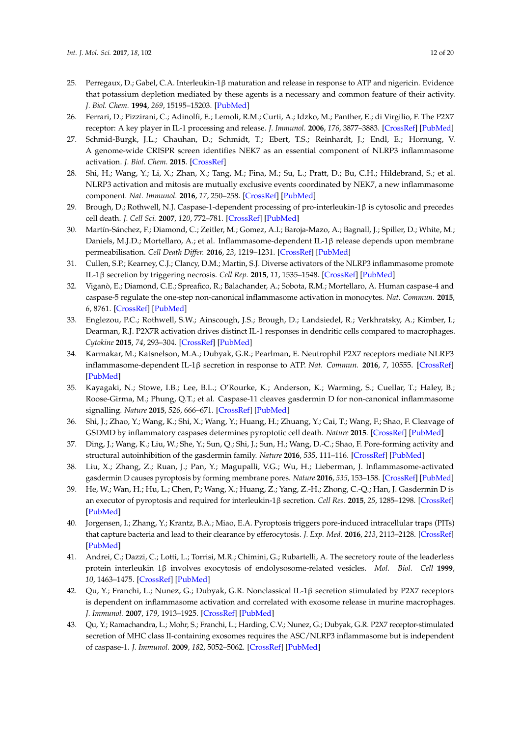- <span id="page-11-0"></span>25. Perregaux, D.; Gabel, C.A. Interleukin-1β maturation and release in response to ATP and nigericin. Evidence that potassium depletion mediated by these agents is a necessary and common feature of their activity. *J. Biol. Chem.* **1994**, *269*, 15195–15203. [\[PubMed\]](http://www.ncbi.nlm.nih.gov/pubmed/8195155)
- <span id="page-11-1"></span>26. Ferrari, D.; Pizzirani, C.; Adinolfi, E.; Lemoli, R.M.; Curti, A.; Idzko, M.; Panther, E.; di Virgilio, F. The P2X7 receptor: A key player in IL-1 processing and release. *J. Immunol.* **2006**, *176*, 3877–3883. [\[CrossRef\]](http://dx.doi.org/10.4049/jimmunol.176.7.3877) [\[PubMed\]](http://www.ncbi.nlm.nih.gov/pubmed/16547218)
- <span id="page-11-2"></span>27. Schmid-Burgk, J.L.; Chauhan, D.; Schmidt, T.; Ebert, T.S.; Reinhardt, J.; Endl, E.; Hornung, V. A genome-wide CRISPR screen identifies NEK7 as an essential component of NLRP3 inflammasome activation. *J. Biol. Chem.* **2015**. [\[CrossRef\]](http://dx.doi.org/10.1074/jbc.C115.700492)
- <span id="page-11-3"></span>28. Shi, H.; Wang, Y.; Li, X.; Zhan, X.; Tang, M.; Fina, M.; Su, L.; Pratt, D.; Bu, C.H.; Hildebrand, S.; et al. NLRP3 activation and mitosis are mutually exclusive events coordinated by NEK7, a new inflammasome component. *Nat. Immunol.* **2016**, *17*, 250–258. [\[CrossRef\]](http://dx.doi.org/10.1038/ni.3333) [\[PubMed\]](http://www.ncbi.nlm.nih.gov/pubmed/26642356)
- <span id="page-11-4"></span>29. Brough, D.; Rothwell, N.J. Caspase-1-dependent processing of pro-interleukin-1β is cytosolic and precedes cell death. *J. Cell Sci.* **2007**, *120*, 772–781. [\[CrossRef\]](http://dx.doi.org/10.1242/jcs.03377) [\[PubMed\]](http://www.ncbi.nlm.nih.gov/pubmed/17284521)
- <span id="page-11-5"></span>30. Martín-Sánchez, F.; Diamond, C.; Zeitler, M.; Gomez, A.I.; Baroja-Mazo, A.; Bagnall, J.; Spiller, D.; White, M.; Daniels, M.J.D.; Mortellaro, A.; et al. Inflammasome-dependent IL-1β release depends upon membrane permeabilisation. *Cell Death Differ.* **2016**, *23*, 1219–1231. [\[CrossRef\]](http://dx.doi.org/10.1038/cdd.2015.176) [\[PubMed\]](http://www.ncbi.nlm.nih.gov/pubmed/26868913)
- <span id="page-11-6"></span>31. Cullen, S.P.; Kearney, C.J.; Clancy, D.M.; Martin, S.J. Diverse activators of the NLRP3 inflammasome promote IL-1β secretion by triggering necrosis. *Cell Rep.* **2015**, *11*, 1535–1548. [\[CrossRef\]](http://dx.doi.org/10.1016/j.celrep.2015.05.003) [\[PubMed\]](http://www.ncbi.nlm.nih.gov/pubmed/26027935)
- <span id="page-11-7"></span>32. Viganò, E.; Diamond, C.E.; Spreafico, R.; Balachander, A.; Sobota, R.M.; Mortellaro, A. Human caspase-4 and caspase-5 regulate the one-step non-canonical inflammasome activation in monocytes. *Nat. Commun.* **2015**, *6*, 8761. [\[CrossRef\]](http://dx.doi.org/10.1038/ncomms9761) [\[PubMed\]](http://www.ncbi.nlm.nih.gov/pubmed/26508369)
- <span id="page-11-8"></span>33. Englezou, P.C.; Rothwell, S.W.; Ainscough, J.S.; Brough, D.; Landsiedel, R.; Verkhratsky, A.; Kimber, I.; Dearman, R.J. P2X7R activation drives distinct IL-1 responses in dendritic cells compared to macrophages. *Cytokine* **2015**, *74*, 293–304. [\[CrossRef\]](http://dx.doi.org/10.1016/j.cyto.2015.05.013) [\[PubMed\]](http://www.ncbi.nlm.nih.gov/pubmed/26068648)
- <span id="page-11-9"></span>34. Karmakar, M.; Katsnelson, M.A.; Dubyak, G.R.; Pearlman, E. Neutrophil P2X7 receptors mediate NLRP3 inflammasome-dependent IL-1β secretion in response to ATP. *Nat. Commun.* **2016**, *7*, 10555. [\[CrossRef\]](http://dx.doi.org/10.1038/ncomms10555) [\[PubMed\]](http://www.ncbi.nlm.nih.gov/pubmed/26877061)
- <span id="page-11-10"></span>35. Kayagaki, N.; Stowe, I.B.; Lee, B.L.; O'Rourke, K.; Anderson, K.; Warming, S.; Cuellar, T.; Haley, B.; Roose-Girma, M.; Phung, Q.T.; et al. Caspase-11 cleaves gasdermin D for non-canonical inflammasome signalling. *Nature* **2015**, *526*, 666–671. [\[CrossRef\]](http://dx.doi.org/10.1038/nature15541) [\[PubMed\]](http://www.ncbi.nlm.nih.gov/pubmed/26375259)
- <span id="page-11-11"></span>36. Shi, J.; Zhao, Y.; Wang, K.; Shi, X.; Wang, Y.; Huang, H.; Zhuang, Y.; Cai, T.; Wang, F.; Shao, F. Cleavage of GSDMD by inflammatory caspases determines pyroptotic cell death. *Nature* **2015**. [\[CrossRef\]](http://dx.doi.org/10.1038/nature15514) [\[PubMed\]](http://www.ncbi.nlm.nih.gov/pubmed/26375003)
- <span id="page-11-12"></span>37. Ding, J.; Wang, K.; Liu, W.; She, Y.; Sun, Q.; Shi, J.; Sun, H.; Wang, D.-C.; Shao, F. Pore-forming activity and structural autoinhibition of the gasdermin family. *Nature* **2016**, *535*, 111–116. [\[CrossRef\]](http://dx.doi.org/10.1038/nature18590) [\[PubMed\]](http://www.ncbi.nlm.nih.gov/pubmed/27281216)
- 38. Liu, X.; Zhang, Z.; Ruan, J.; Pan, Y.; Magupalli, V.G.; Wu, H.; Lieberman, J. Inflammasome-activated gasdermin D causes pyroptosis by forming membrane pores. *Nature* **2016**, *535*, 153–158. [\[CrossRef\]](http://dx.doi.org/10.1038/nature18629) [\[PubMed\]](http://www.ncbi.nlm.nih.gov/pubmed/27383986)
- <span id="page-11-13"></span>39. He, W.; Wan, H.; Hu, L.; Chen, P.; Wang, X.; Huang, Z.; Yang, Z.-H.; Zhong, C.-Q.; Han, J. Gasdermin D is an executor of pyroptosis and required for interleukin-1β secretion. *Cell Res.* **2015**, *25*, 1285–1298. [\[CrossRef\]](http://dx.doi.org/10.1038/cr.2015.139) [\[PubMed\]](http://www.ncbi.nlm.nih.gov/pubmed/26611636)
- <span id="page-11-14"></span>40. Jorgensen, I.; Zhang, Y.; Krantz, B.A.; Miao, E.A. Pyroptosis triggers pore-induced intracellular traps (PITs) that capture bacteria and lead to their clearance by efferocytosis. *J. Exp. Med.* **2016**, *213*, 2113–2128. [\[CrossRef\]](http://dx.doi.org/10.1084/jem.20151613) [\[PubMed\]](http://www.ncbi.nlm.nih.gov/pubmed/27573815)
- <span id="page-11-15"></span>41. Andrei, C.; Dazzi, C.; Lotti, L.; Torrisi, M.R.; Chimini, G.; Rubartelli, A. The secretory route of the leaderless protein interleukin 1β involves exocytosis of endolysosome-related vesicles. *Mol. Biol. Cell* **1999**, *10*, 1463–1475. [\[CrossRef\]](http://dx.doi.org/10.1091/mbc.10.5.1463) [\[PubMed\]](http://www.ncbi.nlm.nih.gov/pubmed/10233156)
- <span id="page-11-16"></span>42. Qu, Y.; Franchi, L.; Nunez, G.; Dubyak, G.R. Nonclassical IL-1β secretion stimulated by P2X7 receptors is dependent on inflammasome activation and correlated with exosome release in murine macrophages. *J. Immunol.* **2007**, *179*, 1913–1925. [\[CrossRef\]](http://dx.doi.org/10.4049/jimmunol.179.3.1913) [\[PubMed\]](http://www.ncbi.nlm.nih.gov/pubmed/17641058)
- <span id="page-11-17"></span>43. Qu, Y.; Ramachandra, L.; Mohr, S.; Franchi, L.; Harding, C.V.; Nunez, G.; Dubyak, G.R. P2X7 receptor-stimulated secretion of MHC class II-containing exosomes requires the ASC/NLRP3 inflammasome but is independent of caspase-1. *J. Immunol.* **2009**, *182*, 5052–5062. [\[CrossRef\]](http://dx.doi.org/10.4049/jimmunol.0802968) [\[PubMed\]](http://www.ncbi.nlm.nih.gov/pubmed/19342685)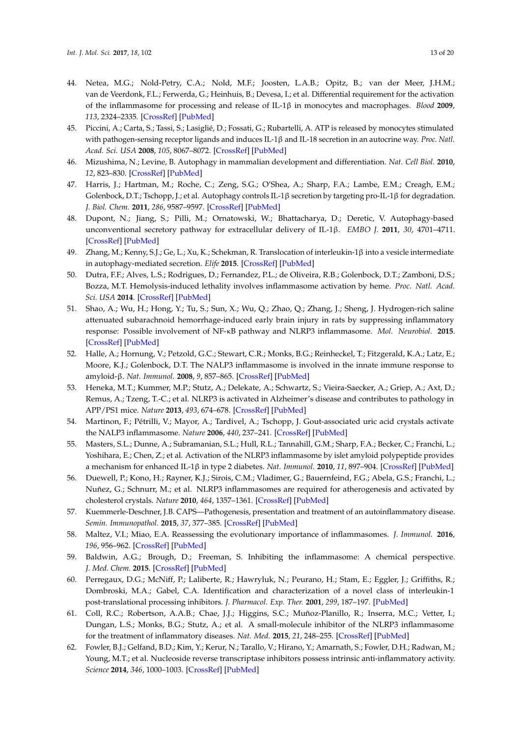- <span id="page-12-0"></span>44. Netea, M.G.; Nold-Petry, C.A.; Nold, M.F.; Joosten, L.A.B.; Opitz, B.; van der Meer, J.H.M.; van de Veerdonk, F.L.; Ferwerda, G.; Heinhuis, B.; Devesa, I.; et al. Differential requirement for the activation of the inflammasome for processing and release of IL-1β in monocytes and macrophages. *Blood* **2009**, *113*, 2324–2335. [\[CrossRef\]](http://dx.doi.org/10.1182/blood-2008-03-146720) [\[PubMed\]](http://www.ncbi.nlm.nih.gov/pubmed/19104081)
- <span id="page-12-1"></span>45. Piccini, A.; Carta, S.; Tassi, S.; Lasiglié, D.; Fossati, G.; Rubartelli, A. ATP is released by monocytes stimulated with pathogen-sensing receptor ligands and induces IL-1β and IL-18 secretion in an autocrine way. *Proc. Natl. Acad. Sci. USA* **2008**, *105*, 8067–8072. [\[CrossRef\]](http://dx.doi.org/10.1073/pnas.0709684105) [\[PubMed\]](http://www.ncbi.nlm.nih.gov/pubmed/18523012)
- <span id="page-12-2"></span>46. Mizushima, N.; Levine, B. Autophagy in mammalian development and differentiation. *Nat. Cell Biol.* **2010**, *12*, 823–830. [\[CrossRef\]](http://dx.doi.org/10.1038/ncb0910-823) [\[PubMed\]](http://www.ncbi.nlm.nih.gov/pubmed/20811354)
- <span id="page-12-3"></span>47. Harris, J.; Hartman, M.; Roche, C.; Zeng, S.G.; O'Shea, A.; Sharp, F.A.; Lambe, E.M.; Creagh, E.M.; Golenbock, D.T.; Tschopp, J.; et al. Autophagy controls IL-1β secretion by targeting pro-IL-1β for degradation. *J. Biol. Chem.* **2011**, *286*, 9587–9597. [\[CrossRef\]](http://dx.doi.org/10.1074/jbc.M110.202911) [\[PubMed\]](http://www.ncbi.nlm.nih.gov/pubmed/21228274)
- <span id="page-12-4"></span>48. Dupont, N.; Jiang, S.; Pilli, M.; Ornatowski, W.; Bhattacharya, D.; Deretic, V. Autophagy-based unconventional secretory pathway for extracellular delivery of IL-1β. *EMBO J.* **2011**, *30*, 4701–4711. [\[CrossRef\]](http://dx.doi.org/10.1038/emboj.2011.398) [\[PubMed\]](http://www.ncbi.nlm.nih.gov/pubmed/22068051)
- <span id="page-12-5"></span>49. Zhang, M.; Kenny, S.J.; Ge, L.; Xu, K.; Schekman, R. Translocation of interleukin-1β into a vesicle intermediate in autophagy-mediated secretion. *Elife* **2015**. [\[CrossRef\]](http://dx.doi.org/10.7554/eLife.11205) [\[PubMed\]](http://www.ncbi.nlm.nih.gov/pubmed/26523392)
- <span id="page-12-6"></span>50. Dutra, F.F.; Alves, L.S.; Rodrigues, D.; Fernandez, P.L.; de Oliveira, R.B.; Golenbock, D.T.; Zamboni, D.S.; Bozza, M.T. Hemolysis-induced lethality involves inflammasome activation by heme. *Proc. Natl. Acad. Sci. USA* **2014**. [\[CrossRef\]](http://dx.doi.org/10.1073/pnas.1405023111) [\[PubMed\]](http://www.ncbi.nlm.nih.gov/pubmed/25225402)
- <span id="page-12-7"></span>51. Shao, A.; Wu, H.; Hong, Y.; Tu, S.; Sun, X.; Wu, Q.; Zhao, Q.; Zhang, J.; Sheng, J. Hydrogen-rich saline attenuated subarachnoid hemorrhage-induced early brain injury in rats by suppressing inflammatory response: Possible involvement of NF-κB pathway and NLRP3 inflammasome. *Mol. Neurobiol.* **2015**. [\[CrossRef\]](http://dx.doi.org/10.1007/s12035-015-9242-y) [\[PubMed\]](http://www.ncbi.nlm.nih.gov/pubmed/26091790)
- <span id="page-12-8"></span>52. Halle, A.; Hornung, V.; Petzold, G.C.; Stewart, C.R.; Monks, B.G.; Reinheckel, T.; Fitzgerald, K.A.; Latz, E.; Moore, K.J.; Golenbock, D.T. The NALP3 inflammasome is involved in the innate immune response to amyloid-β. *Nat. Immunol.* **2008**, *9*, 857–865. [\[CrossRef\]](http://dx.doi.org/10.1038/ni.1636) [\[PubMed\]](http://www.ncbi.nlm.nih.gov/pubmed/18604209)
- <span id="page-12-9"></span>53. Heneka, M.T.; Kummer, M.P.; Stutz, A.; Delekate, A.; Schwartz, S.; Vieira-Saecker, A.; Griep, A.; Axt, D.; Remus, A.; Tzeng, T.-C.; et al. NLRP3 is activated in Alzheimer's disease and contributes to pathology in APP/PS1 mice. *Nature* **2013**, *493*, 674–678. [\[CrossRef\]](http://dx.doi.org/10.1038/nature11729) [\[PubMed\]](http://www.ncbi.nlm.nih.gov/pubmed/23254930)
- <span id="page-12-10"></span>54. Martinon, F.; Pétrilli, V.; Mayor, A.; Tardivel, A.; Tschopp, J. Gout-associated uric acid crystals activate the NALP3 inflammasome. *Nature* **2006**, *440*, 237–241. [\[CrossRef\]](http://dx.doi.org/10.1038/nature04516) [\[PubMed\]](http://www.ncbi.nlm.nih.gov/pubmed/16407889)
- <span id="page-12-11"></span>55. Masters, S.L.; Dunne, A.; Subramanian, S.L.; Hull, R.L.; Tannahill, G.M.; Sharp, F.A.; Becker, C.; Franchi, L.; Yoshihara, E.; Chen, Z.; et al. Activation of the NLRP3 inflammasome by islet amyloid polypeptide provides a mechanism for enhanced IL-1β in type 2 diabetes. *Nat. Immunol.* **2010**, *11*, 897–904. [\[CrossRef\]](http://dx.doi.org/10.1038/ni.1935) [\[PubMed\]](http://www.ncbi.nlm.nih.gov/pubmed/20835230)
- <span id="page-12-12"></span>56. Duewell, P.; Kono, H.; Rayner, K.J.; Sirois, C.M.; Vladimer, G.; Bauernfeind, F.G.; Abela, G.S.; Franchi, L.; Nuñez, G.; Schnurr, M.; et al. NLRP3 inflammasomes are required for atherogenesis and activated by cholesterol crystals. *Nature* **2010**, *464*, 1357–1361. [\[CrossRef\]](http://dx.doi.org/10.1038/nature08938) [\[PubMed\]](http://www.ncbi.nlm.nih.gov/pubmed/20428172)
- <span id="page-12-13"></span>57. Kuemmerle-Deschner, J.B. CAPS—Pathogenesis, presentation and treatment of an autoinflammatory disease. *Semin. Immunopathol.* **2015**, *37*, 377–385. [\[CrossRef\]](http://dx.doi.org/10.1007/s00281-015-0491-7) [\[PubMed\]](http://www.ncbi.nlm.nih.gov/pubmed/25963520)
- <span id="page-12-14"></span>58. Maltez, V.I.; Miao, E.A. Reassessing the evolutionary importance of inflammasomes. *J. Immunol.* **2016**, *196*, 956–962. [\[CrossRef\]](http://dx.doi.org/10.4049/jimmunol.1502060) [\[PubMed\]](http://www.ncbi.nlm.nih.gov/pubmed/26802061)
- <span id="page-12-15"></span>59. Baldwin, A.G.; Brough, D.; Freeman, S. Inhibiting the inflammasome: A chemical perspective. *J. Med. Chem.* **2015**. [\[CrossRef\]](http://dx.doi.org/10.1021/acs.jmedchem.5b01091) [\[PubMed\]](http://www.ncbi.nlm.nih.gov/pubmed/26422006)
- <span id="page-12-16"></span>60. Perregaux, D.G.; McNiff, P.; Laliberte, R.; Hawryluk, N.; Peurano, H.; Stam, E.; Eggler, J.; Griffiths, R.; Dombroski, M.A.; Gabel, C.A. Identification and characterization of a novel class of interleukin-1 post-translational processing inhibitors. *J. Pharmacol. Exp. Ther.* **2001**, *299*, 187–197. [\[PubMed\]](http://www.ncbi.nlm.nih.gov/pubmed/11561079)
- <span id="page-12-17"></span>61. Coll, R.C.; Robertson, A.A.B.; Chae, J.J.; Higgins, S.C.; Muñoz-Planillo, R.; Inserra, M.C.; Vetter, I.; Dungan, L.S.; Monks, B.G.; Stutz, A.; et al. A small-molecule inhibitor of the NLRP3 inflammasome for the treatment of inflammatory diseases. *Nat. Med.* **2015**, *21*, 248–255. [\[CrossRef\]](http://dx.doi.org/10.1038/nm.3806) [\[PubMed\]](http://www.ncbi.nlm.nih.gov/pubmed/25686105)
- <span id="page-12-18"></span>62. Fowler, B.J.; Gelfand, B.D.; Kim, Y.; Kerur, N.; Tarallo, V.; Hirano, Y.; Amarnath, S.; Fowler, D.H.; Radwan, M.; Young, M.T.; et al. Nucleoside reverse transcriptase inhibitors possess intrinsic anti-inflammatory activity. *Science* **2014**, *346*, 1000–1003. [\[CrossRef\]](http://dx.doi.org/10.1126/science.1261754) [\[PubMed\]](http://www.ncbi.nlm.nih.gov/pubmed/25414314)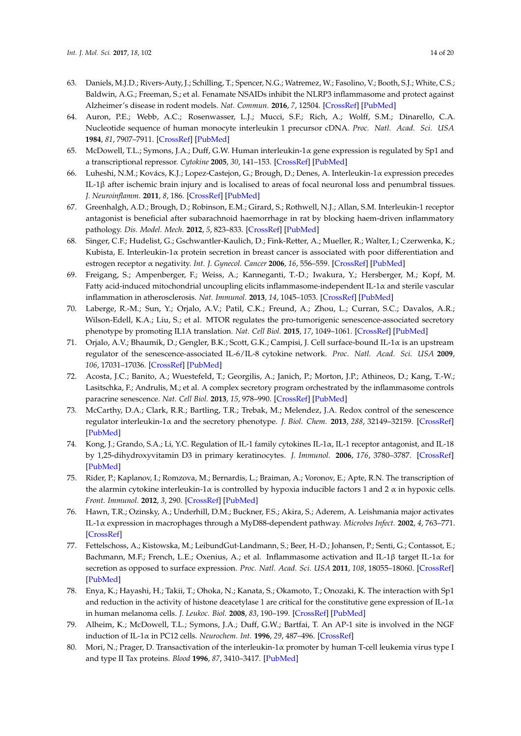- <span id="page-13-0"></span>63. Daniels, M.J.D.; Rivers-Auty, J.; Schilling, T.; Spencer, N.G.; Watremez, W.; Fasolino, V.; Booth, S.J.; White, C.S.; Baldwin, A.G.; Freeman, S.; et al. Fenamate NSAIDs inhibit the NLRP3 inflammasome and protect against Alzheimer's disease in rodent models. *Nat. Commun.* **2016**, *7*, 12504. [\[CrossRef\]](http://dx.doi.org/10.1038/ncomms12504) [\[PubMed\]](http://www.ncbi.nlm.nih.gov/pubmed/27509875)
- <span id="page-13-1"></span>64. Auron, P.E.; Webb, A.C.; Rosenwasser, L.J.; Mucci, S.F.; Rich, A.; Wolff, S.M.; Dinarello, C.A. Nucleotide sequence of human monocyte interleukin 1 precursor cDNA. *Proc. Natl. Acad. Sci. USA* **1984**, *81*, 7907–7911. [\[CrossRef\]](http://dx.doi.org/10.1073/pnas.81.24.7907) [\[PubMed\]](http://www.ncbi.nlm.nih.gov/pubmed/6083565)
- <span id="page-13-2"></span>65. McDowell, T.L.; Symons, J.A.; Duff, G.W. Human interleukin-1α gene expression is regulated by Sp1 and a transcriptional repressor. *Cytokine* **2005**, *30*, 141–153. [\[CrossRef\]](http://dx.doi.org/10.1016/j.cyto.2004.12.010) [\[PubMed\]](http://www.ncbi.nlm.nih.gov/pubmed/15863387)
- <span id="page-13-3"></span>66. Luheshi, N.M.; Kovács, K.J.; Lopez-Castejon, G.; Brough, D.; Denes, A. Interleukin-1α expression precedes IL-1β after ischemic brain injury and is localised to areas of focal neuronal loss and penumbral tissues. *J. Neuroinflamm.* **2011**, *8*, 186. [\[CrossRef\]](http://dx.doi.org/10.1186/1742-2094-8-186) [\[PubMed\]](http://www.ncbi.nlm.nih.gov/pubmed/22206506)
- <span id="page-13-4"></span>67. Greenhalgh, A.D.; Brough, D.; Robinson, E.M.; Girard, S.; Rothwell, N.J.; Allan, S.M. Interleukin-1 receptor antagonist is beneficial after subarachnoid haemorrhage in rat by blocking haem-driven inflammatory pathology. *Dis. Model. Mech.* **2012**, *5*, 823–833. [\[CrossRef\]](http://dx.doi.org/10.1242/dmm.008557) [\[PubMed\]](http://www.ncbi.nlm.nih.gov/pubmed/22679224)
- <span id="page-13-5"></span>68. Singer, C.F.; Hudelist, G.; Gschwantler-Kaulich, D.; Fink-Retter, A.; Mueller, R.; Walter, I.; Czerwenka, K.; Kubista, E. Interleukin-1α protein secretion in breast cancer is associated with poor differentiation and estrogen receptor α negativity. *Int. J. Gynecol. Cancer* **2006**, *16*, 556–559. [\[CrossRef\]](http://dx.doi.org/10.1111/j.1525-1438.2006.00695.x) [\[PubMed\]](http://www.ncbi.nlm.nih.gov/pubmed/17010072)
- <span id="page-13-6"></span>69. Freigang, S.; Ampenberger, F.; Weiss, A.; Kanneganti, T.-D.; Iwakura, Y.; Hersberger, M.; Kopf, M. Fatty acid-induced mitochondrial uncoupling elicits inflammasome-independent IL-1α and sterile vascular inflammation in atherosclerosis. *Nat. Immunol.* **2013**, *14*, 1045–1053. [\[CrossRef\]](http://dx.doi.org/10.1038/ni.2704) [\[PubMed\]](http://www.ncbi.nlm.nih.gov/pubmed/23995233)
- <span id="page-13-7"></span>70. Laberge, R.-M.; Sun, Y.; Orjalo, A.V.; Patil, C.K.; Freund, A.; Zhou, L.; Curran, S.C.; Davalos, A.R.; Wilson-Edell, K.A.; Liu, S.; et al. MTOR regulates the pro-tumorigenic senescence-associated secretory phenotype by promoting IL1A translation. *Nat. Cell Biol.* **2015**, *17*, 1049–1061. [\[CrossRef\]](http://dx.doi.org/10.1038/ncb3195) [\[PubMed\]](http://www.ncbi.nlm.nih.gov/pubmed/26147250)
- <span id="page-13-8"></span>71. Orjalo, A.V.; Bhaumik, D.; Gengler, B.K.; Scott, G.K.; Campisi, J. Cell surface-bound IL-1α is an upstream regulator of the senescence-associated IL-6/IL-8 cytokine network. *Proc. Natl. Acad. Sci. USA* **2009**, *106*, 17031–17036. [\[CrossRef\]](http://dx.doi.org/10.1073/pnas.0905299106) [\[PubMed\]](http://www.ncbi.nlm.nih.gov/pubmed/19805069)
- <span id="page-13-9"></span>72. Acosta, J.C.; Banito, A.; Wuestefeld, T.; Georgilis, A.; Janich, P.; Morton, J.P.; Athineos, D.; Kang, T.-W.; Lasitschka, F.; Andrulis, M.; et al. A complex secretory program orchestrated by the inflammasome controls paracrine senescence. *Nat. Cell Biol.* **2013**, *15*, 978–990. [\[CrossRef\]](http://dx.doi.org/10.1038/ncb2784) [\[PubMed\]](http://www.ncbi.nlm.nih.gov/pubmed/23770676)
- <span id="page-13-10"></span>73. McCarthy, D.A.; Clark, R.R.; Bartling, T.R.; Trebak, M.; Melendez, J.A. Redox control of the senescence regulator interleukin-1α and the secretory phenotype. *J. Biol. Chem.* **2013**, *288*, 32149–32159. [\[CrossRef\]](http://dx.doi.org/10.1074/jbc.M113.493841) [\[PubMed\]](http://www.ncbi.nlm.nih.gov/pubmed/24062309)
- <span id="page-13-11"></span>74. Kong, J.; Grando, S.A.; Li, Y.C. Regulation of IL-1 family cytokines IL-1α, IL-1 receptor antagonist, and IL-18 by 1,25-dihydroxyvitamin D3 in primary keratinocytes. *J. Immunol.* **2006**, *176*, 3780–3787. [\[CrossRef\]](http://dx.doi.org/10.4049/jimmunol.176.6.3780) [\[PubMed\]](http://www.ncbi.nlm.nih.gov/pubmed/16517748)
- <span id="page-13-12"></span>75. Rider, P.; Kaplanov, I.; Romzova, M.; Bernardis, L.; Braiman, A.; Voronov, E.; Apte, R.N. The transcription of the alarmin cytokine interleukin-1α is controlled by hypoxia inducible factors 1 and 2  $α$  in hypoxic cells. *Front. Immunol.* **2012**, *3*, 290. [\[CrossRef\]](http://dx.doi.org/10.3389/fimmu.2012.00290) [\[PubMed\]](http://www.ncbi.nlm.nih.gov/pubmed/23049530)
- 76. Hawn, T.R.; Ozinsky, A.; Underhill, D.M.; Buckner, F.S.; Akira, S.; Aderem, A. Leishmania major activates IL-1α expression in macrophages through a MyD88-dependent pathway. *Microbes Infect.* **2002**, *4*, 763–771. [\[CrossRef\]](http://dx.doi.org/10.1016/S1286-4579(02)01596-4)
- <span id="page-13-13"></span>77. Fettelschoss, A.; Kistowska, M.; LeibundGut-Landmann, S.; Beer, H.-D.; Johansen, P.; Senti, G.; Contassot, E.; Bachmann, M.F.; French, L.E.; Oxenius, A.; et al. Inflammasome activation and IL-1β target IL-1α for secretion as opposed to surface expression. *Proc. Natl. Acad. Sci. USA* **2011**, *108*, 18055–18060. [\[CrossRef\]](http://dx.doi.org/10.1073/pnas.1109176108) [\[PubMed\]](http://www.ncbi.nlm.nih.gov/pubmed/22006336)
- <span id="page-13-14"></span>78. Enya, K.; Hayashi, H.; Takii, T.; Ohoka, N.; Kanata, S.; Okamoto, T.; Onozaki, K. The interaction with Sp1 and reduction in the activity of histone deacetylase 1 are critical for the constitutive gene expression of IL-1 $\alpha$ in human melanoma cells. *J. Leukoc. Biol.* **2008**, *83*, 190–199. [\[CrossRef\]](http://dx.doi.org/10.1189/jlb.0106008) [\[PubMed\]](http://www.ncbi.nlm.nih.gov/pubmed/17906119)
- <span id="page-13-15"></span>79. Alheim, K.; McDowell, T.L.; Symons, J.A.; Duff, G.W.; Bartfai, T. An AP-1 site is involved in the NGF induction of IL-1α in PC12 cells. *Neurochem. Int.* **1996**, *29*, 487–496. [\[CrossRef\]](http://dx.doi.org/10.1016/0197-0186(96)00017-4)
- <span id="page-13-16"></span>80. Mori, N.; Prager, D. Transactivation of the interleukin-1α promoter by human T-cell leukemia virus type I and type II Tax proteins. *Blood* **1996**, *87*, 3410–3417. [\[PubMed\]](http://www.ncbi.nlm.nih.gov/pubmed/8605359)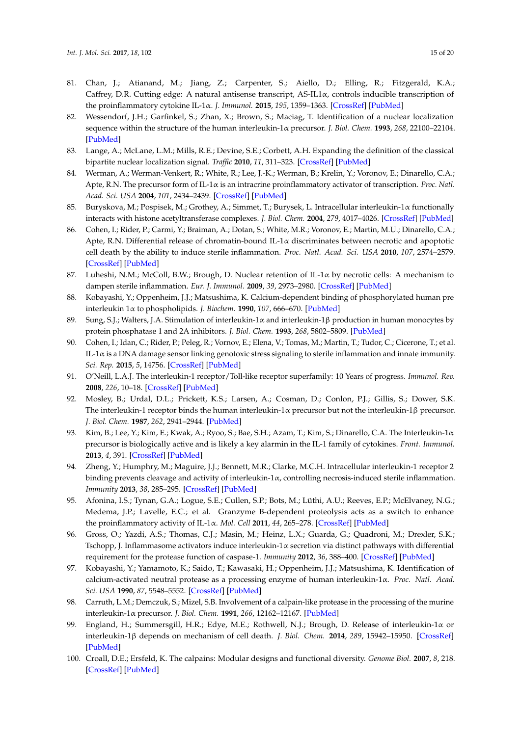- <span id="page-14-0"></span>81. Chan, J.; Atianand, M.; Jiang, Z.; Carpenter, S.; Aiello, D.; Elling, R.; Fitzgerald, K.A.; Caffrey, D.R. Cutting edge: A natural antisense transcript, AS-IL1 $\alpha$ , controls inducible transcription of the proinflammatory cytokine IL-1α. *J. Immunol.* **2015**, *195*, 1359–1363. [\[CrossRef\]](http://dx.doi.org/10.4049/jimmunol.1500264) [\[PubMed\]](http://www.ncbi.nlm.nih.gov/pubmed/26179904)
- <span id="page-14-1"></span>82. Wessendorf, J.H.; Garfinkel, S.; Zhan, X.; Brown, S.; Maciag, T. Identification of a nuclear localization sequence within the structure of the human interleukin-1α precursor. *J. Biol. Chem.* **1993**, *268*, 22100–22104. [\[PubMed\]](http://www.ncbi.nlm.nih.gov/pubmed/8408068)
- <span id="page-14-2"></span>83. Lange, A.; McLane, L.M.; Mills, R.E.; Devine, S.E.; Corbett, A.H. Expanding the definition of the classical bipartite nuclear localization signal. *Traffic* **2010**, *11*, 311–323. [\[CrossRef\]](http://dx.doi.org/10.1111/j.1600-0854.2009.01028.x) [\[PubMed\]](http://www.ncbi.nlm.nih.gov/pubmed/20028483)
- <span id="page-14-3"></span>84. Werman, A.; Werman-Venkert, R.; White, R.; Lee, J.-K.; Werman, B.; Krelin, Y.; Voronov, E.; Dinarello, C.A.; Apte, R.N. The precursor form of IL-1α is an intracrine proinflammatory activator of transcription. *Proc. Natl. Acad. Sci. USA* **2004**, *101*, 2434–2439. [\[CrossRef\]](http://dx.doi.org/10.1073/pnas.0308705101) [\[PubMed\]](http://www.ncbi.nlm.nih.gov/pubmed/14983027)
- <span id="page-14-4"></span>85. Buryskova, M.; Pospisek, M.; Grothey, A.; Simmet, T.; Burysek, L. Intracellular interleukin-1α functionally interacts with histone acetyltransferase complexes. *J. Biol. Chem.* **2004**, *279*, 4017–4026. [\[CrossRef\]](http://dx.doi.org/10.1074/jbc.M306342200) [\[PubMed\]](http://www.ncbi.nlm.nih.gov/pubmed/14612453)
- <span id="page-14-5"></span>86. Cohen, I.; Rider, P.; Carmi, Y.; Braiman, A.; Dotan, S.; White, M.R.; Voronov, E.; Martin, M.U.; Dinarello, C.A.; Apte, R.N. Differential release of chromatin-bound IL-1α discriminates between necrotic and apoptotic cell death by the ability to induce sterile inflammation. *Proc. Natl. Acad. Sci. USA* **2010**, *107*, 2574–2579. [\[CrossRef\]](http://dx.doi.org/10.1073/pnas.0915018107) [\[PubMed\]](http://www.ncbi.nlm.nih.gov/pubmed/20133797)
- <span id="page-14-6"></span>87. Luheshi, N.M.; McColl, B.W.; Brough, D. Nuclear retention of IL-1α by necrotic cells: A mechanism to dampen sterile inflammation. *Eur. J. Immunol.* **2009**, *39*, 2973–2980. [\[CrossRef\]](http://dx.doi.org/10.1002/eji.200939712) [\[PubMed\]](http://www.ncbi.nlm.nih.gov/pubmed/19839011)
- <span id="page-14-7"></span>88. Kobayashi, Y.; Oppenheim, J.J.; Matsushima, K. Calcium-dependent binding of phosphorylated human pre interleukin 1α to phospholipids. *J. Biochem.* **1990**, *107*, 666–670. [\[PubMed\]](http://www.ncbi.nlm.nih.gov/pubmed/2398032)
- <span id="page-14-8"></span>89. Sung, S.J.; Walters, J.A. Stimulation of interleukin-1α and interleukin-1β production in human monocytes by protein phosphatase 1 and 2A inhibitors. *J. Biol. Chem.* **1993**, *268*, 5802–5809. [\[PubMed\]](http://www.ncbi.nlm.nih.gov/pubmed/8383677)
- <span id="page-14-9"></span>90. Cohen, I.; Idan, C.; Rider, P.; Peleg, R.; Vornov, E.; Elena, V.; Tomas, M.; Martin, T.; Tudor, C.; Cicerone, T.; et al. IL-1α is a DNA damage sensor linking genotoxic stress signaling to sterile inflammation and innate immunity. *Sci. Rep.* **2015**, *5*, 14756. [\[CrossRef\]](http://dx.doi.org/10.1038/srep19100) [\[PubMed\]](http://www.ncbi.nlm.nih.gov/pubmed/26750721)
- <span id="page-14-10"></span>91. O'Neill, L.A.J. The interleukin-1 receptor/Toll-like receptor superfamily: 10 Years of progress. *Immunol. Rev.* **2008**, *226*, 10–18. [\[CrossRef\]](http://dx.doi.org/10.1111/j.1600-065X.2008.00701.x) [\[PubMed\]](http://www.ncbi.nlm.nih.gov/pubmed/19161412)
- <span id="page-14-11"></span>92. Mosley, B.; Urdal, D.L.; Prickett, K.S.; Larsen, A.; Cosman, D.; Conlon, P.J.; Gillis, S.; Dower, S.K. The interleukin-1 receptor binds the human interleukin-1 $\alpha$  precursor but not the interleukin-1 $\beta$  precursor. *J. Biol. Chem.* **1987**, *262*, 2941–2944. [\[PubMed\]](http://www.ncbi.nlm.nih.gov/pubmed/2950091)
- <span id="page-14-12"></span>93. Kim, B.; Lee, Y.; Kim, E.; Kwak, A.; Ryoo, S.; Bae, S.H.; Azam, T.; Kim, S.; Dinarello, C.A. The Interleukin-1α precursor is biologically active and is likely a key alarmin in the IL-1 family of cytokines. *Front. Immunol.* **2013**, *4*, 391. [\[CrossRef\]](http://dx.doi.org/10.3389/fimmu.2013.00391) [\[PubMed\]](http://www.ncbi.nlm.nih.gov/pubmed/24312098)
- <span id="page-14-13"></span>94. Zheng, Y.; Humphry, M.; Maguire, J.J.; Bennett, M.R.; Clarke, M.C.H. Intracellular interleukin-1 receptor 2 binding prevents cleavage and activity of interleukin-1α, controlling necrosis-induced sterile inflammation. *Immunity* **2013**, *38*, 285–295. [\[CrossRef\]](http://dx.doi.org/10.1016/j.immuni.2013.01.008) [\[PubMed\]](http://www.ncbi.nlm.nih.gov/pubmed/23395675)
- <span id="page-14-14"></span>95. Afonina, I.S.; Tynan, G.A.; Logue, S.E.; Cullen, S.P.; Bots, M.; Lüthi, A.U.; Reeves, E.P.; McElvaney, N.G.; Medema, J.P.; Lavelle, E.C.; et al. Granzyme B-dependent proteolysis acts as a switch to enhance the proinflammatory activity of IL-1α. *Mol. Cell* **2011**, *44*, 265–278. [\[CrossRef\]](http://dx.doi.org/10.1016/j.molcel.2011.07.037) [\[PubMed\]](http://www.ncbi.nlm.nih.gov/pubmed/22017873)
- <span id="page-14-15"></span>96. Gross, O.; Yazdi, A.S.; Thomas, C.J.; Masin, M.; Heinz, L.X.; Guarda, G.; Quadroni, M.; Drexler, S.K.; Tschopp, J. Inflammasome activators induce interleukin-1α secretion via distinct pathways with differential requirement for the protease function of caspase-1. *Immunity* **2012**, *36*, 388–400. [\[CrossRef\]](http://dx.doi.org/10.1016/j.immuni.2012.01.018) [\[PubMed\]](http://www.ncbi.nlm.nih.gov/pubmed/22444631)
- <span id="page-14-16"></span>97. Kobayashi, Y.; Yamamoto, K.; Saido, T.; Kawasaki, H.; Oppenheim, J.J.; Matsushima, K. Identification of calcium-activated neutral protease as a processing enzyme of human interleukin-1α. *Proc. Natl. Acad. Sci. USA* **1990**, *87*, 5548–5552. [\[CrossRef\]](http://dx.doi.org/10.1073/pnas.87.14.5548) [\[PubMed\]](http://www.ncbi.nlm.nih.gov/pubmed/2115174)
- <span id="page-14-17"></span>98. Carruth, L.M.; Demczuk, S.; Mizel, S.B. Involvement of a calpain-like protease in the processing of the murine interleukin-1α precursor. *J. Biol. Chem.* **1991**, *266*, 12162–12167. [\[PubMed\]](http://www.ncbi.nlm.nih.gov/pubmed/2061304)
- <span id="page-14-18"></span>99. England, H.; Summersgill, H.R.; Edye, M.E.; Rothwell, N.J.; Brough, D. Release of interleukin-1α or interleukin-1β depends on mechanism of cell death. *J. Biol. Chem.* **2014**, *289*, 15942–15950. [\[CrossRef\]](http://dx.doi.org/10.1074/jbc.M114.557561) [\[PubMed\]](http://www.ncbi.nlm.nih.gov/pubmed/24790078)
- <span id="page-14-19"></span>100. Croall, D.E.; Ersfeld, K. The calpains: Modular designs and functional diversity. *Genome Biol.* **2007**, *8*, 218. [\[CrossRef\]](http://dx.doi.org/10.1186/gb-2007-8-6-218) [\[PubMed\]](http://www.ncbi.nlm.nih.gov/pubmed/17608959)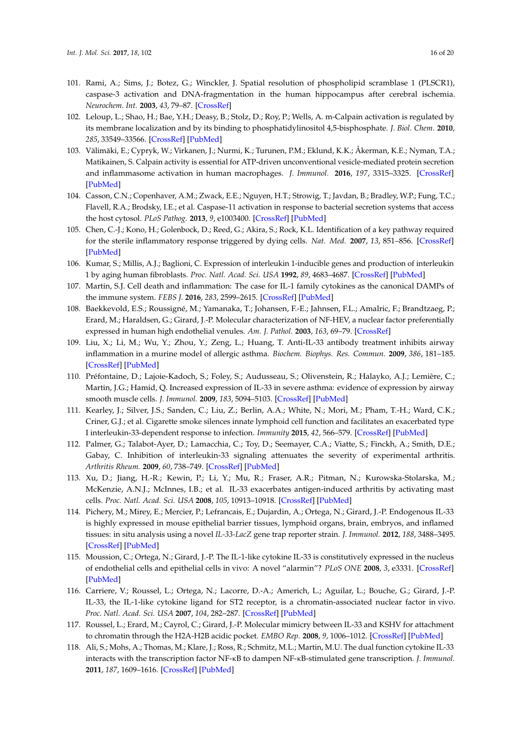- <span id="page-15-0"></span>101. Rami, A.; Sims, J.; Botez, G.; Winckler, J. Spatial resolution of phospholipid scramblase 1 (PLSCR1), caspase-3 activation and DNA-fragmentation in the human hippocampus after cerebral ischemia. *Neurochem. Int.* **2003**, *43*, 79–87. [\[CrossRef\]](http://dx.doi.org/10.1016/S0197-0186(02)00194-8)
- <span id="page-15-1"></span>102. Leloup, L.; Shao, H.; Bae, Y.H.; Deasy, B.; Stolz, D.; Roy, P.; Wells, A. m-Calpain activation is regulated by its membrane localization and by its binding to phosphatidylinositol 4,5-bisphosphate. *J. Biol. Chem.* **2010**, *285*, 33549–33566. [\[CrossRef\]](http://dx.doi.org/10.1074/jbc.M110.123604) [\[PubMed\]](http://www.ncbi.nlm.nih.gov/pubmed/20729206)
- <span id="page-15-2"></span>103. Välimäki, E.; Cypryk, W.; Virkanen, J.; Nurmi, K.; Turunen, P.M.; Eklund, K.K.; Åkerman, K.E.; Nyman, T.A.; Matikainen, S. Calpain activity is essential for ATP-driven unconventional vesicle-mediated protein secretion and inflammasome activation in human macrophages. *J. Immunol.* **2016**, *197*, 3315–3325. [\[CrossRef\]](http://dx.doi.org/10.4049/jimmunol.1501840) [\[PubMed\]](http://www.ncbi.nlm.nih.gov/pubmed/27638862)
- <span id="page-15-3"></span>104. Casson, C.N.; Copenhaver, A.M.; Zwack, E.E.; Nguyen, H.T.; Strowig, T.; Javdan, B.; Bradley, W.P.; Fung, T.C.; Flavell, R.A.; Brodsky, I.E.; et al. Caspase-11 activation in response to bacterial secretion systems that access the host cytosol. *PLoS Pathog.* **2013**, *9*, e1003400. [\[CrossRef\]](http://dx.doi.org/10.1371/journal.ppat.1003400) [\[PubMed\]](http://www.ncbi.nlm.nih.gov/pubmed/23762026)
- <span id="page-15-4"></span>105. Chen, C.-J.; Kono, H.; Golenbock, D.; Reed, G.; Akira, S.; Rock, K.L. Identification of a key pathway required for the sterile inflammatory response triggered by dying cells. *Nat. Med.* **2007**, *13*, 851–856. [\[CrossRef\]](http://dx.doi.org/10.1038/nm1603) [\[PubMed\]](http://www.ncbi.nlm.nih.gov/pubmed/17572686)
- <span id="page-15-5"></span>106. Kumar, S.; Millis, A.J.; Baglioni, C. Expression of interleukin 1-inducible genes and production of interleukin 1 by aging human fibroblasts. *Proc. Natl. Acad. Sci. USA* **1992**, *89*, 4683–4687. [\[CrossRef\]](http://dx.doi.org/10.1073/pnas.89.10.4683) [\[PubMed\]](http://www.ncbi.nlm.nih.gov/pubmed/1584804)
- <span id="page-15-6"></span>107. Martin, S.J. Cell death and inflammation: The case for IL-1 family cytokines as the canonical DAMPs of the immune system. *FEBS J.* **2016**, *283*, 2599–2615. [\[CrossRef\]](http://dx.doi.org/10.1111/febs.13775) [\[PubMed\]](http://www.ncbi.nlm.nih.gov/pubmed/27273805)
- <span id="page-15-7"></span>108. Baekkevold, E.S.; Roussigné, M.; Yamanaka, T.; Johansen, F.-E.; Jahnsen, F.L.; Amalric, F.; Brandtzaeg, P.; Erard, M.; Haraldsen, G.; Girard, J.-P. Molecular characterization of NF-HEV, a nuclear factor preferentially expressed in human high endothelial venules. *Am. J. Pathol.* **2003**, *163*, 69–79. [\[CrossRef\]](http://dx.doi.org/10.1016/S0002-9440(10)63631-0)
- <span id="page-15-8"></span>109. Liu, X.; Li, M.; Wu, Y.; Zhou, Y.; Zeng, L.; Huang, T. Anti-IL-33 antibody treatment inhibits airway inflammation in a murine model of allergic asthma. *Biochem. Biophys. Res. Commun.* **2009**, *386*, 181–185. [\[CrossRef\]](http://dx.doi.org/10.1016/j.bbrc.2009.06.008) [\[PubMed\]](http://www.ncbi.nlm.nih.gov/pubmed/19508862)
- <span id="page-15-9"></span>110. Préfontaine, D.; Lajoie-Kadoch, S.; Foley, S.; Audusseau, S.; Olivenstein, R.; Halayko, A.J.; Lemière, C.; Martin, J.G.; Hamid, Q. Increased expression of IL-33 in severe asthma: evidence of expression by airway smooth muscle cells. *J. Immunol.* **2009**, *183*, 5094–5103. [\[CrossRef\]](http://dx.doi.org/10.4049/jimmunol.0802387) [\[PubMed\]](http://www.ncbi.nlm.nih.gov/pubmed/19801525)
- <span id="page-15-10"></span>111. Kearley, J.; Silver, J.S.; Sanden, C.; Liu, Z.; Berlin, A.A.; White, N.; Mori, M.; Pham, T.-H.; Ward, C.K.; Criner, G.J.; et al. Cigarette smoke silences innate lymphoid cell function and facilitates an exacerbated type I interleukin-33-dependent response to infection. *Immunity* **2015**, *42*, 566–579. [\[CrossRef\]](http://dx.doi.org/10.1016/j.immuni.2015.02.011) [\[PubMed\]](http://www.ncbi.nlm.nih.gov/pubmed/25786179)
- <span id="page-15-11"></span>112. Palmer, G.; Talabot-Ayer, D.; Lamacchia, C.; Toy, D.; Seemayer, C.A.; Viatte, S.; Finckh, A.; Smith, D.E.; Gabay, C. Inhibition of interleukin-33 signaling attenuates the severity of experimental arthritis. *Arthritis Rheum.* **2009**, *60*, 738–749. [\[CrossRef\]](http://dx.doi.org/10.1002/art.24305) [\[PubMed\]](http://www.ncbi.nlm.nih.gov/pubmed/19248109)
- <span id="page-15-12"></span>113. Xu, D.; Jiang, H.-R.; Kewin, P.; Li, Y.; Mu, R.; Fraser, A.R.; Pitman, N.; Kurowska-Stolarska, M.; McKenzie, A.N.J.; McInnes, I.B.; et al. IL-33 exacerbates antigen-induced arthritis by activating mast cells. *Proc. Natl. Acad. Sci. USA* **2008**, *105*, 10913–10918. [\[CrossRef\]](http://dx.doi.org/10.1073/pnas.0801898105) [\[PubMed\]](http://www.ncbi.nlm.nih.gov/pubmed/18667700)
- <span id="page-15-13"></span>114. Pichery, M.; Mirey, E.; Mercier, P.; Lefrancais, E.; Dujardin, A.; Ortega, N.; Girard, J.-P. Endogenous IL-33 is highly expressed in mouse epithelial barrier tissues, lymphoid organs, brain, embryos, and inflamed tissues: in situ analysis using a novel *IL-33-LacZ* gene trap reporter strain. *J. Immunol.* **2012**, *188*, 3488–3495. [\[CrossRef\]](http://dx.doi.org/10.4049/jimmunol.1101977) [\[PubMed\]](http://www.ncbi.nlm.nih.gov/pubmed/22371395)
- <span id="page-15-14"></span>115. Moussion, C.; Ortega, N.; Girard, J.-P. The IL-1-like cytokine IL-33 is constitutively expressed in the nucleus of endothelial cells and epithelial cells in vivo: A novel "alarmin"? *PLoS ONE* **2008**, *3*, e3331. [\[CrossRef\]](http://dx.doi.org/10.1371/journal.pone.0003331) [\[PubMed\]](http://www.ncbi.nlm.nih.gov/pubmed/18836528)
- <span id="page-15-15"></span>116. Carriere, V.; Roussel, L.; Ortega, N.; Lacorre, D.-A.; Americh, L.; Aguilar, L.; Bouche, G.; Girard, J.-P. IL-33, the IL-1-like cytokine ligand for ST2 receptor, is a chromatin-associated nuclear factor in vivo. *Proc. Natl. Acad. Sci. USA* **2007**, *104*, 282–287. [\[CrossRef\]](http://dx.doi.org/10.1073/pnas.0606854104) [\[PubMed\]](http://www.ncbi.nlm.nih.gov/pubmed/17185418)
- <span id="page-15-16"></span>117. Roussel, L.; Erard, M.; Cayrol, C.; Girard, J.-P. Molecular mimicry between IL-33 and KSHV for attachment to chromatin through the H2A-H2B acidic pocket. *EMBO Rep.* **2008**, *9*, 1006–1012. [\[CrossRef\]](http://dx.doi.org/10.1038/embor.2008.145) [\[PubMed\]](http://www.ncbi.nlm.nih.gov/pubmed/18688256)
- <span id="page-15-17"></span>118. Ali, S.; Mohs, A.; Thomas, M.; Klare, J.; Ross, R.; Schmitz, M.L.; Martin, M.U. The dual function cytokine IL-33 interacts with the transcription factor NF-κB to dampen NF-κB-stimulated gene transcription. *J. Immunol.* **2011**, *187*, 1609–1616. [\[CrossRef\]](http://dx.doi.org/10.4049/jimmunol.1003080) [\[PubMed\]](http://www.ncbi.nlm.nih.gov/pubmed/21734074)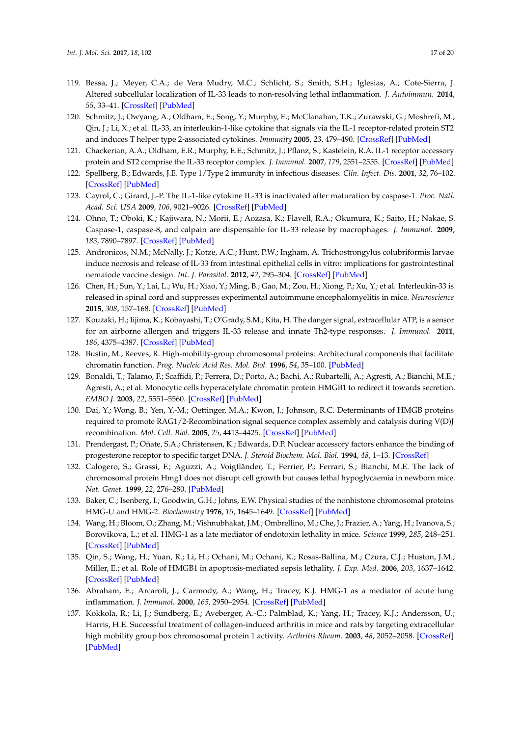- <span id="page-16-0"></span>119. Bessa, J.; Meyer, C.A.; de Vera Mudry, M.C.; Schlicht, S.; Smith, S.H.; Iglesias, A.; Cote-Sierra, J. Altered subcellular localization of IL-33 leads to non-resolving lethal inflammation. *J. Autoimmun.* **2014**, *55*, 33–41. [\[CrossRef\]](http://dx.doi.org/10.1016/j.jaut.2014.02.012) [\[PubMed\]](http://www.ncbi.nlm.nih.gov/pubmed/24786898)
- <span id="page-16-1"></span>120. Schmitz, J.; Owyang, A.; Oldham, E.; Song, Y.; Murphy, E.; McClanahan, T.K.; Zurawski, G.; Moshrefi, M.; Qin, J.; Li, X.; et al. IL-33, an interleukin-1-like cytokine that signals via the IL-1 receptor-related protein ST2 and induces T helper type 2-associated cytokines. *Immunity* **2005**, *23*, 479–490. [\[CrossRef\]](http://dx.doi.org/10.1016/j.immuni.2005.09.015) [\[PubMed\]](http://www.ncbi.nlm.nih.gov/pubmed/16286016)
- <span id="page-16-2"></span>121. Chackerian, A.A.; Oldham, E.R.; Murphy, E.E.; Schmitz, J.; Pflanz, S.; Kastelein, R.A. IL-1 receptor accessory protein and ST2 comprise the IL-33 receptor complex. *J. Immunol.* **2007**, *179*, 2551–2555. [\[CrossRef\]](http://dx.doi.org/10.4049/jimmunol.179.4.2551) [\[PubMed\]](http://www.ncbi.nlm.nih.gov/pubmed/17675517)
- <span id="page-16-3"></span>122. Spellberg, B.; Edwards, J.E. Type 1/Type 2 immunity in infectious diseases. *Clin. Infect. Dis.* **2001**, *32*, 76–102. [\[CrossRef\]](http://dx.doi.org/10.1086/317537) [\[PubMed\]](http://www.ncbi.nlm.nih.gov/pubmed/11118387)
- <span id="page-16-4"></span>123. Cayrol, C.; Girard, J.-P. The IL-1-like cytokine IL-33 is inactivated after maturation by caspase-1. *Proc. Natl. Acad. Sci. USA* **2009**, *106*, 9021–9026. [\[CrossRef\]](http://dx.doi.org/10.1073/pnas.0812690106) [\[PubMed\]](http://www.ncbi.nlm.nih.gov/pubmed/19439663)
- <span id="page-16-5"></span>124. Ohno, T.; Oboki, K.; Kajiwara, N.; Morii, E.; Aozasa, K.; Flavell, R.A.; Okumura, K.; Saito, H.; Nakae, S. Caspase-1, caspase-8, and calpain are dispensable for IL-33 release by macrophages. *J. Immunol.* **2009**, *183*, 7890–7897. [\[CrossRef\]](http://dx.doi.org/10.4049/jimmunol.0802449) [\[PubMed\]](http://www.ncbi.nlm.nih.gov/pubmed/19933859)
- <span id="page-16-6"></span>125. Andronicos, N.M.; McNally, J.; Kotze, A.C.; Hunt, P.W.; Ingham, A. Trichostrongylus colubriformis larvae induce necrosis and release of IL-33 from intestinal epithelial cells in vitro: implications for gastrointestinal nematode vaccine design. *Int. J. Parasitol.* **2012**, *42*, 295–304. [\[CrossRef\]](http://dx.doi.org/10.1016/j.ijpara.2012.01.007) [\[PubMed\]](http://www.ncbi.nlm.nih.gov/pubmed/22366550)
- <span id="page-16-7"></span>126. Chen, H.; Sun, Y.; Lai, L.; Wu, H.; Xiao, Y.; Ming, B.; Gao, M.; Zou, H.; Xiong, P.; Xu, Y.; et al. Interleukin-33 is released in spinal cord and suppresses experimental autoimmune encephalomyelitis in mice. *Neuroscience* **2015**, *308*, 157–168. [\[CrossRef\]](http://dx.doi.org/10.1016/j.neuroscience.2015.09.019) [\[PubMed\]](http://www.ncbi.nlm.nih.gov/pubmed/26363151)
- <span id="page-16-8"></span>127. Kouzaki, H.; Iijima, K.; Kobayashi, T.; O'Grady, S.M.; Kita, H. The danger signal, extracellular ATP, is a sensor for an airborne allergen and triggers IL-33 release and innate Th2-type responses. *J. Immunol.* **2011**, *186*, 4375–4387. [\[CrossRef\]](http://dx.doi.org/10.4049/jimmunol.1003020) [\[PubMed\]](http://www.ncbi.nlm.nih.gov/pubmed/21357533)
- <span id="page-16-9"></span>128. Bustin, M.; Reeves, R. High-mobility-group chromosomal proteins: Architectural components that facilitate chromatin function. *Prog. Nucleic Acid Res. Mol. Biol.* **1996**, *54*, 35–100. [\[PubMed\]](http://www.ncbi.nlm.nih.gov/pubmed/8768072)
- <span id="page-16-10"></span>129. Bonaldi, T.; Talamo, F.; Scaffidi, P.; Ferrera, D.; Porto, A.; Bachi, A.; Rubartelli, A.; Agresti, A.; Bianchi, M.E.; Agresti, A.; et al. Monocytic cells hyperacetylate chromatin protein HMGB1 to redirect it towards secretion. *EMBO J.* **2003**, *22*, 5551–5560. [\[CrossRef\]](http://dx.doi.org/10.1093/emboj/cdg516) [\[PubMed\]](http://www.ncbi.nlm.nih.gov/pubmed/14532127)
- <span id="page-16-11"></span>130. Dai, Y.; Wong, B.; Yen, Y.-M.; Oettinger, M.A.; Kwon, J.; Johnson, R.C. Determinants of HMGB proteins required to promote RAG1/2-Recombination signal sequence complex assembly and catalysis during V(D)J recombination. *Mol. Cell. Biol.* **2005**, *25*, 4413–4425. [\[CrossRef\]](http://dx.doi.org/10.1128/MCB.25.11.4413-4425.2005) [\[PubMed\]](http://www.ncbi.nlm.nih.gov/pubmed/15899848)
- <span id="page-16-12"></span>131. Prendergast, P.; Oñate, S.A.; Christensen, K.; Edwards, D.P. Nuclear accessory factors enhance the binding of progesterone receptor to specific target DNA. *J. Steroid Biochem. Mol. Biol.* **1994**, *48*, 1–13. [\[CrossRef\]](http://dx.doi.org/10.1016/0960-0760(94)90245-3)
- <span id="page-16-13"></span>132. Calogero, S.; Grassi, F.; Aguzzi, A.; Voigtländer, T.; Ferrier, P.; Ferrari, S.; Bianchi, M.E. The lack of chromosomal protein Hmg1 does not disrupt cell growth but causes lethal hypoglycaemia in newborn mice. *Nat. Genet.* **1999**, *22*, 276–280. [\[PubMed\]](http://www.ncbi.nlm.nih.gov/pubmed/10391216)
- <span id="page-16-14"></span>133. Baker, C.; Isenberg, I.; Goodwin, G.H.; Johns, E.W. Physical studies of the nonhistone chromosomal proteins HMG-U and HMG-2. *Biochemistry* **1976**, *15*, 1645–1649. [\[CrossRef\]](http://dx.doi.org/10.1021/bi00653a009) [\[PubMed\]](http://www.ncbi.nlm.nih.gov/pubmed/5107)
- <span id="page-16-15"></span>134. Wang, H.; Bloom, O.; Zhang, M.; Vishnubhakat, J.M.; Ombrellino, M.; Che, J.; Frazier, A.; Yang, H.; Ivanova, S.; Borovikova, L.; et al. HMG-1 as a late mediator of endotoxin lethality in mice. *Science* **1999**, *285*, 248–251. [\[CrossRef\]](http://dx.doi.org/10.1126/science.285.5425.248) [\[PubMed\]](http://www.ncbi.nlm.nih.gov/pubmed/10398600)
- <span id="page-16-16"></span>135. Qin, S.; Wang, H.; Yuan, R.; Li, H.; Ochani, M.; Ochani, K.; Rosas-Ballina, M.; Czura, C.J.; Huston, J.M.; Miller, E.; et al. Role of HMGB1 in apoptosis-mediated sepsis lethality. *J. Exp. Med.* **2006**, *203*, 1637–1642. [\[CrossRef\]](http://dx.doi.org/10.1084/jem.20052203) [\[PubMed\]](http://www.ncbi.nlm.nih.gov/pubmed/16818669)
- <span id="page-16-17"></span>136. Abraham, E.; Arcaroli, J.; Carmody, A.; Wang, H.; Tracey, K.J. HMG-1 as a mediator of acute lung inflammation. *J. Immunol.* **2000**, *165*, 2950–2954. [\[CrossRef\]](http://dx.doi.org/10.4049/jimmunol.165.6.2950) [\[PubMed\]](http://www.ncbi.nlm.nih.gov/pubmed/10975801)
- <span id="page-16-18"></span>137. Kokkola, R.; Li, J.; Sundberg, E.; Aveberger, A.-C.; Palmblad, K.; Yang, H.; Tracey, K.J.; Andersson, U.; Harris, H.E. Successful treatment of collagen-induced arthritis in mice and rats by targeting extracellular high mobility group box chromosomal protein 1 activity. *Arthritis Rheum.* **2003**, *48*, 2052–2058. [\[CrossRef\]](http://dx.doi.org/10.1002/art.11161) [\[PubMed\]](http://www.ncbi.nlm.nih.gov/pubmed/12847700)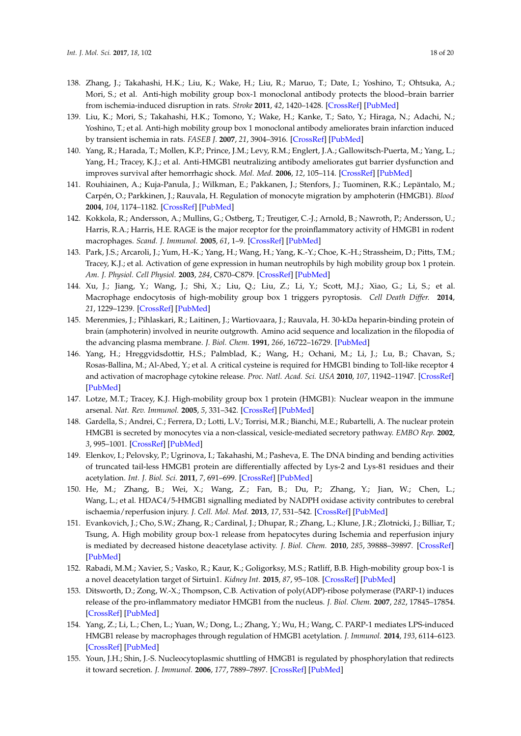- <span id="page-17-0"></span>138. Zhang, J.; Takahashi, H.K.; Liu, K.; Wake, H.; Liu, R.; Maruo, T.; Date, I.; Yoshino, T.; Ohtsuka, A.; Mori, S.; et al. Anti-high mobility group box-1 monoclonal antibody protects the blood–brain barrier from ischemia-induced disruption in rats. *Stroke* **2011**, *42*, 1420–1428. [\[CrossRef\]](http://dx.doi.org/10.1161/STROKEAHA.110.598334) [\[PubMed\]](http://www.ncbi.nlm.nih.gov/pubmed/21474801)
- <span id="page-17-1"></span>139. Liu, K.; Mori, S.; Takahashi, H.K.; Tomono, Y.; Wake, H.; Kanke, T.; Sato, Y.; Hiraga, N.; Adachi, N.; Yoshino, T.; et al. Anti-high mobility group box 1 monoclonal antibody ameliorates brain infarction induced by transient ischemia in rats. *FASEB J.* **2007**, *21*, 3904–3916. [\[CrossRef\]](http://dx.doi.org/10.1096/fj.07-8770com) [\[PubMed\]](http://www.ncbi.nlm.nih.gov/pubmed/17628015)
- <span id="page-17-2"></span>140. Yang, R.; Harada, T.; Mollen, K.P.; Prince, J.M.; Levy, R.M.; Englert, J.A.; Gallowitsch-Puerta, M.; Yang, L.; Yang, H.; Tracey, K.J.; et al. Anti-HMGB1 neutralizing antibody ameliorates gut barrier dysfunction and improves survival after hemorrhagic shock. *Mol. Med.* **2006**, *12*, 105–114. [\[CrossRef\]](http://dx.doi.org/10.2119/2006-00010.Yang) [\[PubMed\]](http://www.ncbi.nlm.nih.gov/pubmed/16953558)
- <span id="page-17-3"></span>141. Rouhiainen, A.; Kuja-Panula, J.; Wilkman, E.; Pakkanen, J.; Stenfors, J.; Tuominen, R.K.; Lepäntalo, M.; Carpén, O.; Parkkinen, J.; Rauvala, H. Regulation of monocyte migration by amphoterin (HMGB1). *Blood* **2004**, *104*, 1174–1182. [\[CrossRef\]](http://dx.doi.org/10.1182/blood-2003-10-3536) [\[PubMed\]](http://www.ncbi.nlm.nih.gov/pubmed/15130941)
- <span id="page-17-4"></span>142. Kokkola, R.; Andersson, A.; Mullins, G.; Ostberg, T.; Treutiger, C.-J.; Arnold, B.; Nawroth, P.; Andersson, U.; Harris, R.A.; Harris, H.E. RAGE is the major receptor for the proinflammatory activity of HMGB1 in rodent macrophages. *Scand. J. Immunol.* **2005**, *61*, 1–9. [\[CrossRef\]](http://dx.doi.org/10.1111/j.0300-9475.2005.01534.x) [\[PubMed\]](http://www.ncbi.nlm.nih.gov/pubmed/15644117)
- <span id="page-17-5"></span>143. Park, J.S.; Arcaroli, J.; Yum, H.-K.; Yang, H.; Wang, H.; Yang, K.-Y.; Choe, K.-H.; Strassheim, D.; Pitts, T.M.; Tracey, K.J.; et al. Activation of gene expression in human neutrophils by high mobility group box 1 protein. *Am. J. Physiol. Cell Physiol.* **2003**, *284*, C870–C879. [\[CrossRef\]](http://dx.doi.org/10.1152/ajpcell.00322.2002) [\[PubMed\]](http://www.ncbi.nlm.nih.gov/pubmed/12620891)
- <span id="page-17-6"></span>144. Xu, J.; Jiang, Y.; Wang, J.; Shi, X.; Liu, Q.; Liu, Z.; Li, Y.; Scott, M.J.; Xiao, G.; Li, S.; et al. Macrophage endocytosis of high-mobility group box 1 triggers pyroptosis. *Cell Death Differ.* **2014**, *21*, 1229–1239. [\[CrossRef\]](http://dx.doi.org/10.1038/cdd.2014.40) [\[PubMed\]](http://www.ncbi.nlm.nih.gov/pubmed/24769733)
- <span id="page-17-7"></span>145. Merenmies, J.; Pihlaskari, R.; Laitinen, J.; Wartiovaara, J.; Rauvala, H. 30-kDa heparin-binding protein of brain (amphoterin) involved in neurite outgrowth. Amino acid sequence and localization in the filopodia of the advancing plasma membrane. *J. Biol. Chem.* **1991**, *266*, 16722–16729. [\[PubMed\]](http://www.ncbi.nlm.nih.gov/pubmed/1885601)
- <span id="page-17-8"></span>146. Yang, H.; Hreggvidsdottir, H.S.; Palmblad, K.; Wang, H.; Ochani, M.; Li, J.; Lu, B.; Chavan, S.; Rosas-Ballina, M.; Al-Abed, Y.; et al. A critical cysteine is required for HMGB1 binding to Toll-like receptor 4 and activation of macrophage cytokine release. *Proc. Natl. Acad. Sci. USA* **2010**, *107*, 11942–11947. [\[CrossRef\]](http://dx.doi.org/10.1073/pnas.1003893107) [\[PubMed\]](http://www.ncbi.nlm.nih.gov/pubmed/20547845)
- <span id="page-17-9"></span>147. Lotze, M.T.; Tracey, K.J. High-mobility group box 1 protein (HMGB1): Nuclear weapon in the immune arsenal. *Nat. Rev. Immunol.* **2005**, *5*, 331–342. [\[CrossRef\]](http://dx.doi.org/10.1038/nri1594) [\[PubMed\]](http://www.ncbi.nlm.nih.gov/pubmed/15803152)
- <span id="page-17-10"></span>148. Gardella, S.; Andrei, C.; Ferrera, D.; Lotti, L.V.; Torrisi, M.R.; Bianchi, M.E.; Rubartelli, A. The nuclear protein HMGB1 is secreted by monocytes via a non-classical, vesicle-mediated secretory pathway. *EMBO Rep.* **2002**, *3*, 995–1001. [\[CrossRef\]](http://dx.doi.org/10.1093/embo-reports/kvf198) [\[PubMed\]](http://www.ncbi.nlm.nih.gov/pubmed/12231511)
- <span id="page-17-11"></span>149. Elenkov, I.; Pelovsky, P.; Ugrinova, I.; Takahashi, M.; Pasheva, E. The DNA binding and bending activities of truncated tail-less HMGB1 protein are differentially affected by Lys-2 and Lys-81 residues and their acetylation. *Int. J. Biol. Sci.* **2011**, *7*, 691–699. [\[CrossRef\]](http://dx.doi.org/10.7150/ijbs.7.691) [\[PubMed\]](http://www.ncbi.nlm.nih.gov/pubmed/21647302)
- <span id="page-17-12"></span>150. He, M.; Zhang, B.; Wei, X.; Wang, Z.; Fan, B.; Du, P.; Zhang, Y.; Jian, W.; Chen, L.; Wang, L.; et al. HDAC4/5-HMGB1 signalling mediated by NADPH oxidase activity contributes to cerebral ischaemia/reperfusion injury. *J. Cell. Mol. Med.* **2013**, *17*, 531–542. [\[CrossRef\]](http://dx.doi.org/10.1111/jcmm.12040) [\[PubMed\]](http://www.ncbi.nlm.nih.gov/pubmed/23480850)
- <span id="page-17-13"></span>151. Evankovich, J.; Cho, S.W.; Zhang, R.; Cardinal, J.; Dhupar, R.; Zhang, L.; Klune, J.R.; Zlotnicki, J.; Billiar, T.; Tsung, A. High mobility group box-1 release from hepatocytes during Ischemia and reperfusion injury is mediated by decreased histone deacetylase activity. *J. Biol. Chem.* **2010**, *285*, 39888–39897. [\[CrossRef\]](http://dx.doi.org/10.1074/jbc.M110.128348) [\[PubMed\]](http://www.ncbi.nlm.nih.gov/pubmed/20937823)
- <span id="page-17-14"></span>152. Rabadi, M.M.; Xavier, S.; Vasko, R.; Kaur, K.; Goligorksy, M.S.; Ratliff, B.B. High-mobility group box-1 is a novel deacetylation target of Sirtuin1. *Kidney Int.* **2015**, *87*, 95–108. [\[CrossRef\]](http://dx.doi.org/10.1038/ki.2014.217) [\[PubMed\]](http://www.ncbi.nlm.nih.gov/pubmed/24940804)
- <span id="page-17-15"></span>153. Ditsworth, D.; Zong, W.-X.; Thompson, C.B. Activation of poly(ADP)-ribose polymerase (PARP-1) induces release of the pro-inflammatory mediator HMGB1 from the nucleus. *J. Biol. Chem.* **2007**, *282*, 17845–17854. [\[CrossRef\]](http://dx.doi.org/10.1074/jbc.M701465200) [\[PubMed\]](http://www.ncbi.nlm.nih.gov/pubmed/17430886)
- <span id="page-17-16"></span>154. Yang, Z.; Li, L.; Chen, L.; Yuan, W.; Dong, L.; Zhang, Y.; Wu, H.; Wang, C. PARP-1 mediates LPS-induced HMGB1 release by macrophages through regulation of HMGB1 acetylation. *J. Immunol.* **2014**, *193*, 6114–6123. [\[CrossRef\]](http://dx.doi.org/10.4049/jimmunol.1400359) [\[PubMed\]](http://www.ncbi.nlm.nih.gov/pubmed/25392528)
- <span id="page-17-17"></span>155. Youn, J.H.; Shin, J.-S. Nucleocytoplasmic shuttling of HMGB1 is regulated by phosphorylation that redirects it toward secretion. *J. Immunol.* **2006**, *177*, 7889–7897. [\[CrossRef\]](http://dx.doi.org/10.4049/jimmunol.177.11.7889) [\[PubMed\]](http://www.ncbi.nlm.nih.gov/pubmed/17114460)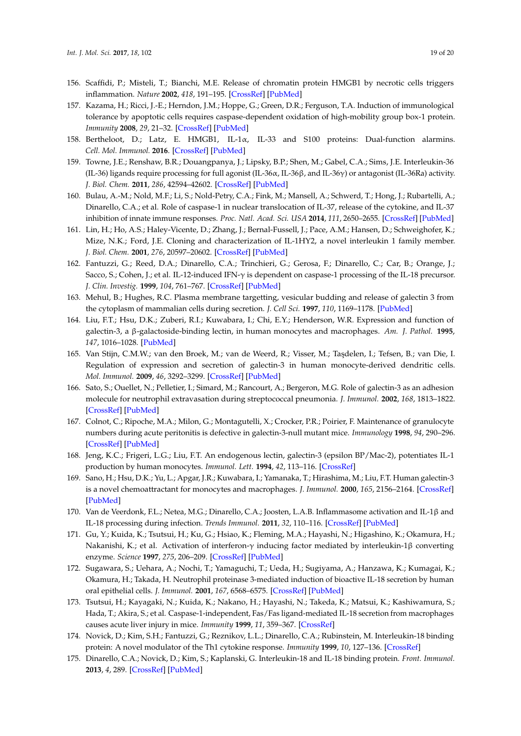- <span id="page-18-0"></span>156. Scaffidi, P.; Misteli, T.; Bianchi, M.E. Release of chromatin protein HMGB1 by necrotic cells triggers inflammation. *Nature* **2002**, *418*, 191–195. [\[CrossRef\]](http://dx.doi.org/10.1038/nature00858) [\[PubMed\]](http://www.ncbi.nlm.nih.gov/pubmed/12110890)
- <span id="page-18-1"></span>157. Kazama, H.; Ricci, J.-E.; Herndon, J.M.; Hoppe, G.; Green, D.R.; Ferguson, T.A. Induction of immunological tolerance by apoptotic cells requires caspase-dependent oxidation of high-mobility group box-1 protein. *Immunity* **2008**, *29*, 21–32. [\[CrossRef\]](http://dx.doi.org/10.1016/j.immuni.2008.05.013) [\[PubMed\]](http://www.ncbi.nlm.nih.gov/pubmed/18631454)
- <span id="page-18-2"></span>158. Bertheloot, D.; Latz, E. HMGB1, IL-1α, IL-33 and S100 proteins: Dual-function alarmins. *Cell. Mol. Immunol.* **2016**. [\[CrossRef\]](http://dx.doi.org/10.1038/cmi.2016.34) [\[PubMed\]](http://www.ncbi.nlm.nih.gov/pubmed/27569562)
- 159. Towne, J.E.; Renshaw, B.R.; Douangpanya, J.; Lipsky, B.P.; Shen, M.; Gabel, C.A.; Sims, J.E. Interleukin-36 (IL-36) ligands require processing for full agonist (IL-36α, IL-36β, and IL-36γ) or antagonist (IL-36Ra) activity. *J. Biol. Chem.* **2011**, *286*, 42594–42602. [\[CrossRef\]](http://dx.doi.org/10.1074/jbc.M111.267922) [\[PubMed\]](http://www.ncbi.nlm.nih.gov/pubmed/21965679)
- 160. Bulau, A.-M.; Nold, M.F.; Li, S.; Nold-Petry, C.A.; Fink, M.; Mansell, A.; Schwerd, T.; Hong, J.; Rubartelli, A.; Dinarello, C.A.; et al. Role of caspase-1 in nuclear translocation of IL-37, release of the cytokine, and IL-37 inhibition of innate immune responses. *Proc. Natl. Acad. Sci. USA* **2014**, *111*, 2650–2655. [\[CrossRef\]](http://dx.doi.org/10.1073/pnas.1324140111) [\[PubMed\]](http://www.ncbi.nlm.nih.gov/pubmed/24481253)
- 161. Lin, H.; Ho, A.S.; Haley-Vicente, D.; Zhang, J.; Bernal-Fussell, J.; Pace, A.M.; Hansen, D.; Schweighofer, K.; Mize, N.K.; Ford, J.E. Cloning and characterization of IL-1HY2, a novel interleukin 1 family member. *J. Biol. Chem.* **2001**, *276*, 20597–20602. [\[CrossRef\]](http://dx.doi.org/10.1074/jbc.M010095200) [\[PubMed\]](http://www.ncbi.nlm.nih.gov/pubmed/11278614)
- <span id="page-18-3"></span>162. Fantuzzi, G.; Reed, D.A.; Dinarello, C.A.; Trinchieri, G.; Gerosa, F.; Dinarello, C.; Car, B.; Orange, J.; Sacco, S.; Cohen, J.; et al. IL-12-induced IFN-γ is dependent on caspase-1 processing of the IL-18 precursor. *J. Clin. Investig.* **1999**, *104*, 761–767. [\[CrossRef\]](http://dx.doi.org/10.1172/JCI7501) [\[PubMed\]](http://www.ncbi.nlm.nih.gov/pubmed/10491411)
- <span id="page-18-4"></span>163. Mehul, B.; Hughes, R.C. Plasma membrane targetting, vesicular budding and release of galectin 3 from the cytoplasm of mammalian cells during secretion. *J. Cell Sci.* **1997**, *110*, 1169–1178. [\[PubMed\]](http://www.ncbi.nlm.nih.gov/pubmed/9191041)
- <span id="page-18-5"></span>164. Liu, F.T.; Hsu, D.K.; Zuberi, R.I.; Kuwabara, I.; Chi, E.Y.; Henderson, W.R. Expression and function of galectin-3, a β-galactoside-binding lectin, in human monocytes and macrophages. *Am. J. Pathol.* **1995**, *147*, 1016–1028. [\[PubMed\]](http://www.ncbi.nlm.nih.gov/pubmed/7573347)
- <span id="page-18-6"></span>165. Van Stijn, C.M.W.; van den Broek, M.; van de Weerd, R.; Visser, M.; Ta¸sdelen, I.; Tefsen, B.; van Die, I. Regulation of expression and secretion of galectin-3 in human monocyte-derived dendritic cells. *Mol. Immunol.* **2009**, *46*, 3292–3299. [\[CrossRef\]](http://dx.doi.org/10.1016/j.molimm.2009.07.026) [\[PubMed\]](http://www.ncbi.nlm.nih.gov/pubmed/19699526)
- <span id="page-18-7"></span>166. Sato, S.; Ouellet, N.; Pelletier, I.; Simard, M.; Rancourt, A.; Bergeron, M.G. Role of galectin-3 as an adhesion molecule for neutrophil extravasation during streptococcal pneumonia. *J. Immunol.* **2002**, *168*, 1813–1822. [\[CrossRef\]](http://dx.doi.org/10.4049/jimmunol.168.4.1813) [\[PubMed\]](http://www.ncbi.nlm.nih.gov/pubmed/11823514)
- <span id="page-18-8"></span>167. Colnot, C.; Ripoche, M.A.; Milon, G.; Montagutelli, X.; Crocker, P.R.; Poirier, F. Maintenance of granulocyte numbers during acute peritonitis is defective in galectin-3-null mutant mice. *Immunology* **1998**, *94*, 290–296. [\[CrossRef\]](http://dx.doi.org/10.1046/j.1365-2567.1998.00517.x) [\[PubMed\]](http://www.ncbi.nlm.nih.gov/pubmed/9767409)
- <span id="page-18-9"></span>168. Jeng, K.C.; Frigeri, L.G.; Liu, F.T. An endogenous lectin, galectin-3 (epsilon BP/Mac-2), potentiates IL-1 production by human monocytes. *Immunol. Lett.* **1994**, *42*, 113–116. [\[CrossRef\]](http://dx.doi.org/10.1016/0165-2478(94)90072-8)
- <span id="page-18-10"></span>169. Sano, H.; Hsu, D.K.; Yu, L.; Apgar, J.R.; Kuwabara, I.; Yamanaka, T.; Hirashima, M.; Liu, F.T. Human galectin-3 is a novel chemoattractant for monocytes and macrophages. *J. Immunol.* **2000**, *165*, 2156–2164. [\[CrossRef\]](http://dx.doi.org/10.4049/jimmunol.165.4.2156) [\[PubMed\]](http://www.ncbi.nlm.nih.gov/pubmed/10925302)
- <span id="page-18-11"></span>170. Van de Veerdonk, F.L.; Netea, M.G.; Dinarello, C.A.; Joosten, L.A.B. Inflammasome activation and IL-1β and IL-18 processing during infection. *Trends Immunol.* **2011**, *32*, 110–116. [\[CrossRef\]](http://dx.doi.org/10.1016/j.it.2011.01.003) [\[PubMed\]](http://www.ncbi.nlm.nih.gov/pubmed/21333600)
- <span id="page-18-12"></span>171. Gu, Y.; Kuida, K.; Tsutsui, H.; Ku, G.; Hsiao, K.; Fleming, M.A.; Hayashi, N.; Higashino, K.; Okamura, H.; Nakanishi, K.; et al. Activation of interferon-γ inducing factor mediated by interleukin-1β converting enzyme. *Science* **1997**, *275*, 206–209. [\[CrossRef\]](http://dx.doi.org/10.1126/science.275.5297.206) [\[PubMed\]](http://www.ncbi.nlm.nih.gov/pubmed/8999548)
- <span id="page-18-13"></span>172. Sugawara, S.; Uehara, A.; Nochi, T.; Yamaguchi, T.; Ueda, H.; Sugiyama, A.; Hanzawa, K.; Kumagai, K.; Okamura, H.; Takada, H. Neutrophil proteinase 3-mediated induction of bioactive IL-18 secretion by human oral epithelial cells. *J. Immunol.* **2001**, *167*, 6568–6575. [\[CrossRef\]](http://dx.doi.org/10.4049/jimmunol.167.11.6568) [\[PubMed\]](http://www.ncbi.nlm.nih.gov/pubmed/11714826)
- <span id="page-18-14"></span>173. Tsutsui, H.; Kayagaki, N.; Kuida, K.; Nakano, H.; Hayashi, N.; Takeda, K.; Matsui, K.; Kashiwamura, S.; Hada, T.; Akira, S.; et al. Caspase-1-independent, Fas/Fas ligand-mediated IL-18 secretion from macrophages causes acute liver injury in mice. *Immunity* **1999**, *11*, 359–367. [\[CrossRef\]](http://dx.doi.org/10.1016/S1074-7613(00)80111-9)
- <span id="page-18-15"></span>174. Novick, D.; Kim, S.H.; Fantuzzi, G.; Reznikov, L.L.; Dinarello, C.A.; Rubinstein, M. Interleukin-18 binding protein: A novel modulator of the Th1 cytokine response. *Immunity* **1999**, *10*, 127–136. [\[CrossRef\]](http://dx.doi.org/10.1016/S1074-7613(00)80013-8)
- <span id="page-18-16"></span>175. Dinarello, C.A.; Novick, D.; Kim, S.; Kaplanski, G. Interleukin-18 and IL-18 binding protein. *Front. Immunol.* **2013**, *4*, 289. [\[CrossRef\]](http://dx.doi.org/10.3389/fimmu.2013.00289) [\[PubMed\]](http://www.ncbi.nlm.nih.gov/pubmed/24115947)